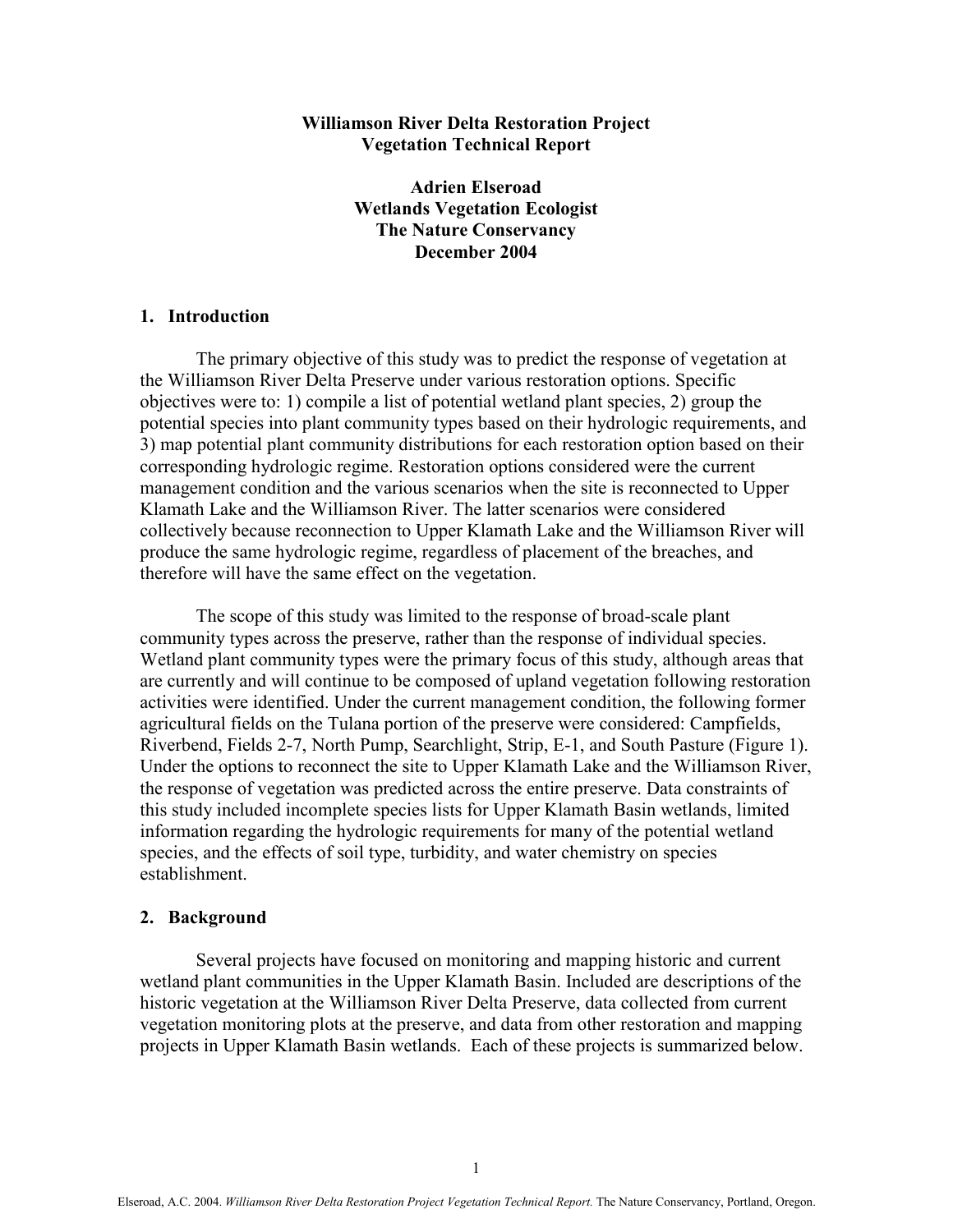# Williamson River Delta Restoration Project Vegetation Technical Report

Adrien Elseroad Wetlands Vegetation Ecologist The Nature Conservancy December 2004

# 1. Introduction

The primary objective of this study was to predict the response of vegetation at the Williamson River Delta Preserve under various restoration options. Specific objectives were to: 1) compile a list of potential wetland plant species, 2) group the potential species into plant community types based on their hydrologic requirements, and 3) map potential plant community distributions for each restoration option based on their corresponding hydrologic regime. Restoration options considered were the current management condition and the various scenarios when the site is reconnected to Upper Klamath Lake and the Williamson River. The latter scenarios were considered collectively because reconnection to Upper Klamath Lake and the Williamson River will produce the same hydrologic regime, regardless of placement of the breaches, and therefore will have the same effect on the vegetation.

The scope of this study was limited to the response of broad-scale plant community types across the preserve, rather than the response of individual species. Wetland plant community types were the primary focus of this study, although areas that are currently and will continue to be composed of upland vegetation following restoration activities were identified. Under the current management condition, the following former agricultural fields on the Tulana portion of the preserve were considered: Campfields, Riverbend, Fields 2-7, North Pump, Searchlight, Strip, E-1, and South Pasture (Figure 1). Under the options to reconnect the site to Upper Klamath Lake and the Williamson River, the response of vegetation was predicted across the entire preserve. Data constraints of this study included incomplete species lists for Upper Klamath Basin wetlands, limited information regarding the hydrologic requirements for many of the potential wetland species, and the effects of soil type, turbidity, and water chemistry on species establishment.

#### 2. Background

Several projects have focused on monitoring and mapping historic and current wetland plant communities in the Upper Klamath Basin. Included are descriptions of the historic vegetation at the Williamson River Delta Preserve, data collected from current vegetation monitoring plots at the preserve, and data from other restoration and mapping projects in Upper Klamath Basin wetlands. Each of these projects is summarized below.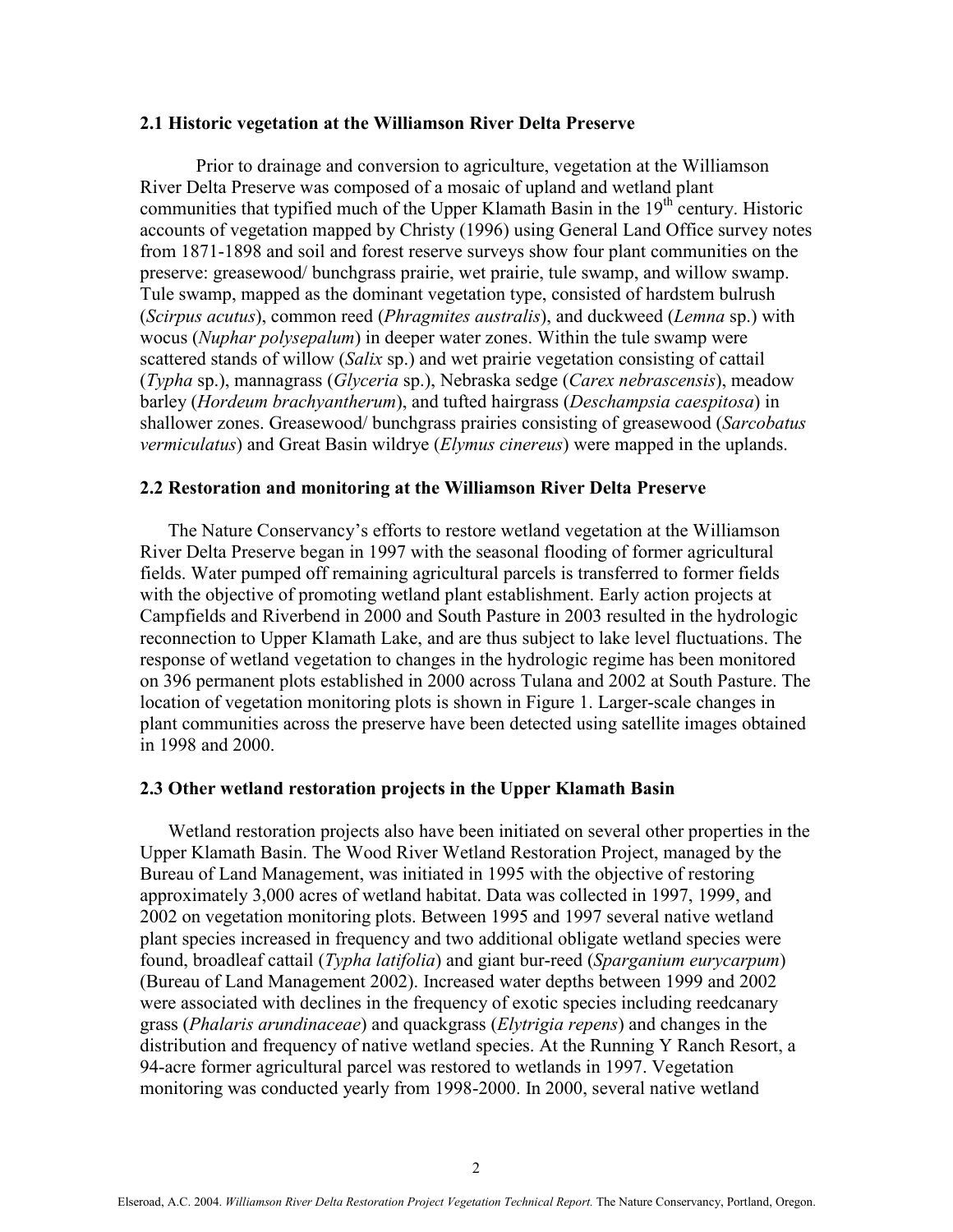#### 2.1 Historic vegetation at the Williamson River Delta Preserve

Prior to drainage and conversion to agriculture, vegetation at the Williamson River Delta Preserve was composed of a mosaic of upland and wetland plant communities that typified much of the Upper Klamath Basin in the  $19<sup>th</sup>$  century. Historic accounts of vegetation mapped by Christy (1996) using General Land Office survey notes from 1871-1898 and soil and forest reserve surveys show four plant communities on the preserve: greasewood/ bunchgrass prairie, wet prairie, tule swamp, and willow swamp. Tule swamp, mapped as the dominant vegetation type, consisted of hardstem bulrush (Scirpus acutus), common reed (Phragmites australis), and duckweed (Lemna sp.) with wocus (Nuphar polysepalum) in deeper water zones. Within the tule swamp were scattered stands of willow (Salix sp.) and wet prairie vegetation consisting of cattail (Typha sp.), mannagrass (Glyceria sp.), Nebraska sedge (Carex nebrascensis), meadow barley (Hordeum brachyantherum), and tufted hairgrass (Deschampsia caespitosa) in shallower zones. Greasewood/ bunchgrass prairies consisting of greasewood (Sarcobatus) vermiculatus) and Great Basin wildrye (*Elymus cinereus*) were mapped in the uplands.

#### 2.2 Restoration and monitoring at the Williamson River Delta Preserve

The Nature Conservancy's efforts to restore wetland vegetation at the Williamson River Delta Preserve began in 1997 with the seasonal flooding of former agricultural fields. Water pumped off remaining agricultural parcels is transferred to former fields with the objective of promoting wetland plant establishment. Early action projects at Campfields and Riverbend in 2000 and South Pasture in 2003 resulted in the hydrologic reconnection to Upper Klamath Lake, and are thus subject to lake level fluctuations. The response of wetland vegetation to changes in the hydrologic regime has been monitored on 396 permanent plots established in 2000 across Tulana and 2002 at South Pasture. The location of vegetation monitoring plots is shown in Figure 1. Larger-scale changes in plant communities across the preserve have been detected using satellite images obtained in 1998 and 2000.

#### 2.3 Other wetland restoration projects in the Upper Klamath Basin

Wetland restoration projects also have been initiated on several other properties in the Upper Klamath Basin. The Wood River Wetland Restoration Project, managed by the Bureau of Land Management, was initiated in 1995 with the objective of restoring approximately 3,000 acres of wetland habitat. Data was collected in 1997, 1999, and 2002 on vegetation monitoring plots. Between 1995 and 1997 several native wetland plant species increased in frequency and two additional obligate wetland species were found, broadleaf cattail (Typha latifolia) and giant bur-reed (Sparganium eurycarpum) (Bureau of Land Management 2002). Increased water depths between 1999 and 2002 were associated with declines in the frequency of exotic species including reedcanary grass (Phalaris arundinaceae) and quackgrass (Elytrigia repens) and changes in the distribution and frequency of native wetland species. At the Running Y Ranch Resort, a 94-acre former agricultural parcel was restored to wetlands in 1997. Vegetation monitoring was conducted yearly from 1998-2000. In 2000, several native wetland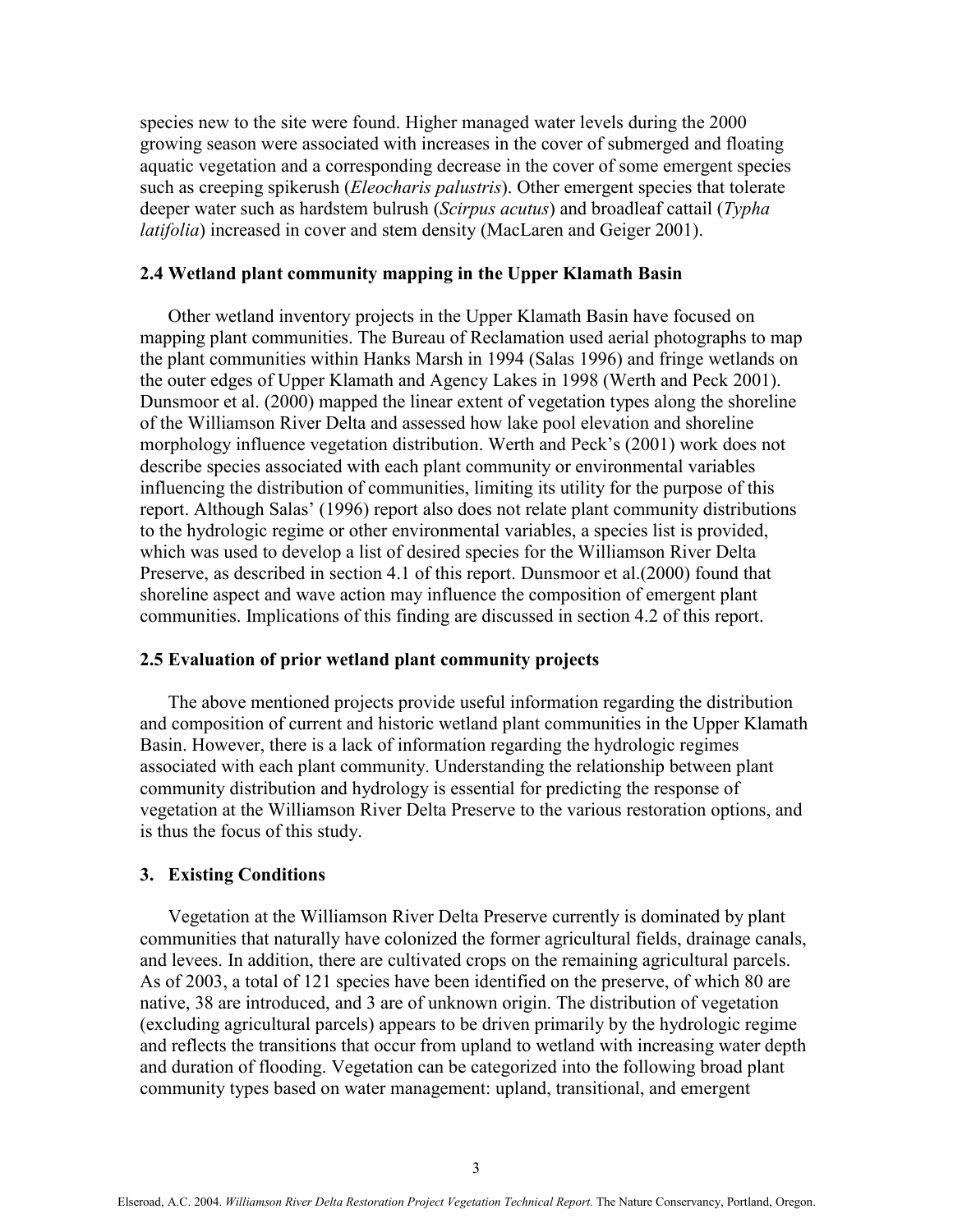species new to the site were found. Higher managed water levels during the 2000 growing season were associated with increases in the cover of submerged and floating aquatic vegetation and a corresponding decrease in the cover of some emergent species such as creeping spikerush (*Eleocharis palustris*). Other emergent species that tolerate deeper water such as hardstem bulrush (Scirpus acutus) and broadleaf cattail (Typha latifolia) increased in cover and stem density (MacLaren and Geiger 2001).

# 2.4 Wetland plant community mapping in the Upper Klamath Basin

Other wetland inventory projects in the Upper Klamath Basin have focused on mapping plant communities. The Bureau of Reclamation used aerial photographs to map the plant communities within Hanks Marsh in 1994 (Salas 1996) and fringe wetlands on the outer edges of Upper Klamath and Agency Lakes in 1998 (Werth and Peck 2001). Dunsmoor et al. (2000) mapped the linear extent of vegetation types along the shoreline of the Williamson River Delta and assessed how lake pool elevation and shoreline morphology influence vegetation distribution. Werth and Peck's (2001) work does not describe species associated with each plant community or environmental variables influencing the distribution of communities, limiting its utility for the purpose of this report. Although Salas' (1996) report also does not relate plant community distributions to the hydrologic regime or other environmental variables, a species list is provided, which was used to develop a list of desired species for the Williamson River Delta Preserve, as described in section 4.1 of this report. Dunsmoor et al.(2000) found that shoreline aspect and wave action may influence the composition of emergent plant communities. Implications of this finding are discussed in section 4.2 of this report.

# 2.5 Evaluation of prior wetland plant community projects

The above mentioned projects provide useful information regarding the distribution and composition of current and historic wetland plant communities in the Upper Klamath Basin. However, there is a lack of information regarding the hydrologic regimes associated with each plant community. Understanding the relationship between plant community distribution and hydrology is essential for predicting the response of vegetation at the Williamson River Delta Preserve to the various restoration options, and is thus the focus of this study.

#### 3. Existing Conditions

Vegetation at the Williamson River Delta Preserve currently is dominated by plant communities that naturally have colonized the former agricultural fields, drainage canals, and levees. In addition, there are cultivated crops on the remaining agricultural parcels. As of 2003, a total of 121 species have been identified on the preserve, of which 80 are native, 38 are introduced, and 3 are of unknown origin. The distribution of vegetation (excluding agricultural parcels) appears to be driven primarily by the hydrologic regime and reflects the transitions that occur from upland to wetland with increasing water depth and duration of flooding. Vegetation can be categorized into the following broad plant community types based on water management: upland, transitional, and emergent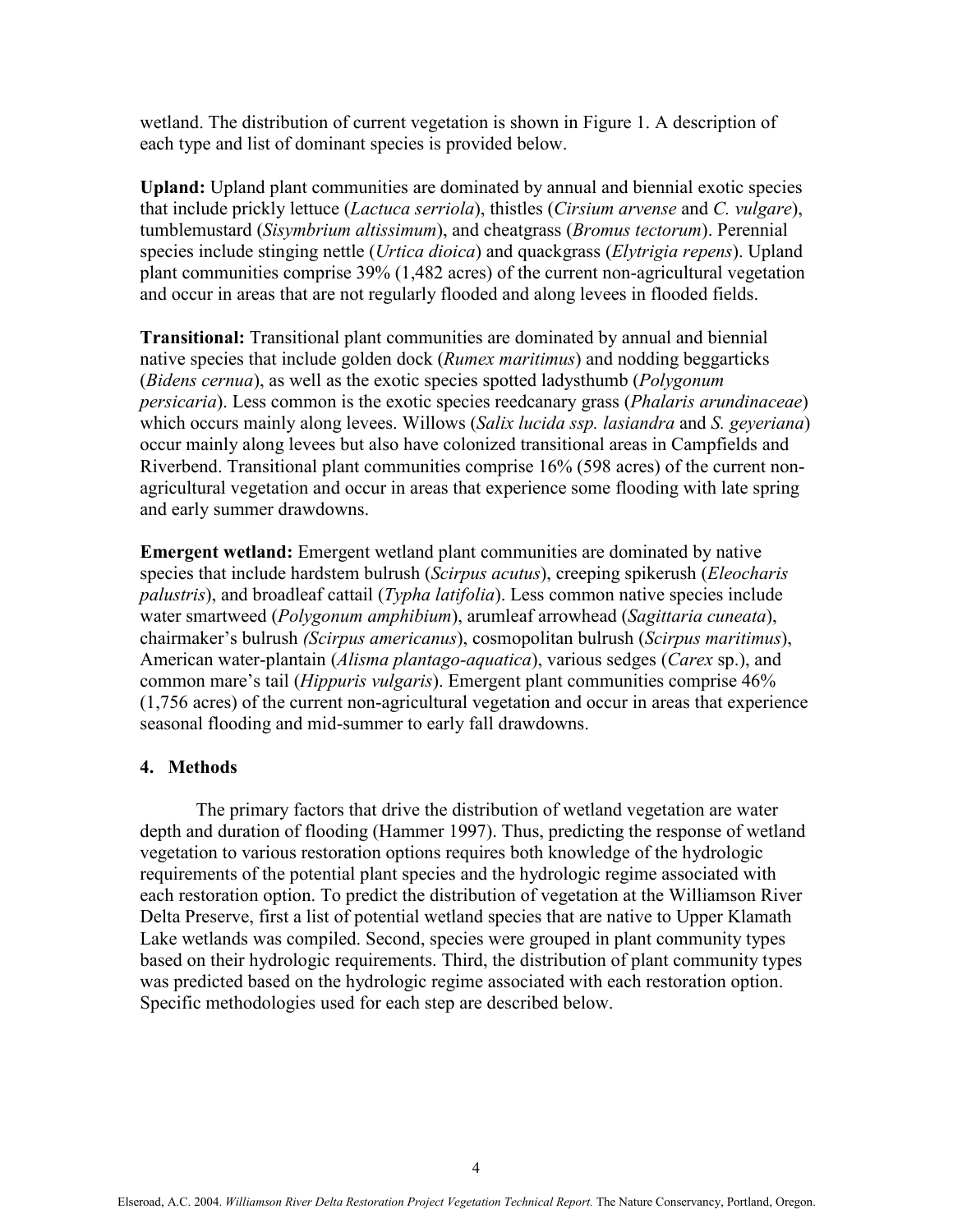wetland. The distribution of current vegetation is shown in Figure 1. A description of each type and list of dominant species is provided below.

Upland: Upland plant communities are dominated by annual and biennial exotic species that include prickly lettuce (Lactuca serriola), thistles (Cirsium arvense and C. vulgare), tumblemustard (Sisymbrium altissimum), and cheatgrass (Bromus tectorum). Perennial species include stinging nettle *(Urtica dioica)* and quackgrass *(Elytrigia repens)*. Upland plant communities comprise 39% (1,482 acres) of the current non-agricultural vegetation and occur in areas that are not regularly flooded and along levees in flooded fields.

Transitional: Transitional plant communities are dominated by annual and biennial native species that include golden dock (Rumex maritimus) and nodding beggarticks (Bidens cernua), as well as the exotic species spotted ladysthumb (Polygonum) persicaria). Less common is the exotic species reedcanary grass (Phalaris arundinaceae) which occurs mainly along levees. Willows (Salix lucida ssp. lasiandra and S. geveriana) occur mainly along levees but also have colonized transitional areas in Campfields and Riverbend. Transitional plant communities comprise 16% (598 acres) of the current nonagricultural vegetation and occur in areas that experience some flooding with late spring and early summer drawdowns.

Emergent wetland: Emergent wetland plant communities are dominated by native species that include hardstem bulrush (Scirpus acutus), creeping spikerush (Eleocharis palustris), and broadleaf cattail (Typha latifolia). Less common native species include water smartweed (Polygonum amphibium), arumleaf arrowhead (Sagittaria cuneata), chairmaker's bulrush (Scirpus americanus), cosmopolitan bulrush (Scirpus maritimus), American water-plantain (Alisma plantago-aquatica), various sedges (Carex sp.), and common mare's tail (Hippuris vulgaris). Emergent plant communities comprise 46% (1,756 acres) of the current non-agricultural vegetation and occur in areas that experience seasonal flooding and mid-summer to early fall drawdowns.

# 4. Methods

 The primary factors that drive the distribution of wetland vegetation are water depth and duration of flooding (Hammer 1997). Thus, predicting the response of wetland vegetation to various restoration options requires both knowledge of the hydrologic requirements of the potential plant species and the hydrologic regime associated with each restoration option. To predict the distribution of vegetation at the Williamson River Delta Preserve, first a list of potential wetland species that are native to Upper Klamath Lake wetlands was compiled. Second, species were grouped in plant community types based on their hydrologic requirements. Third, the distribution of plant community types was predicted based on the hydrologic regime associated with each restoration option. Specific methodologies used for each step are described below.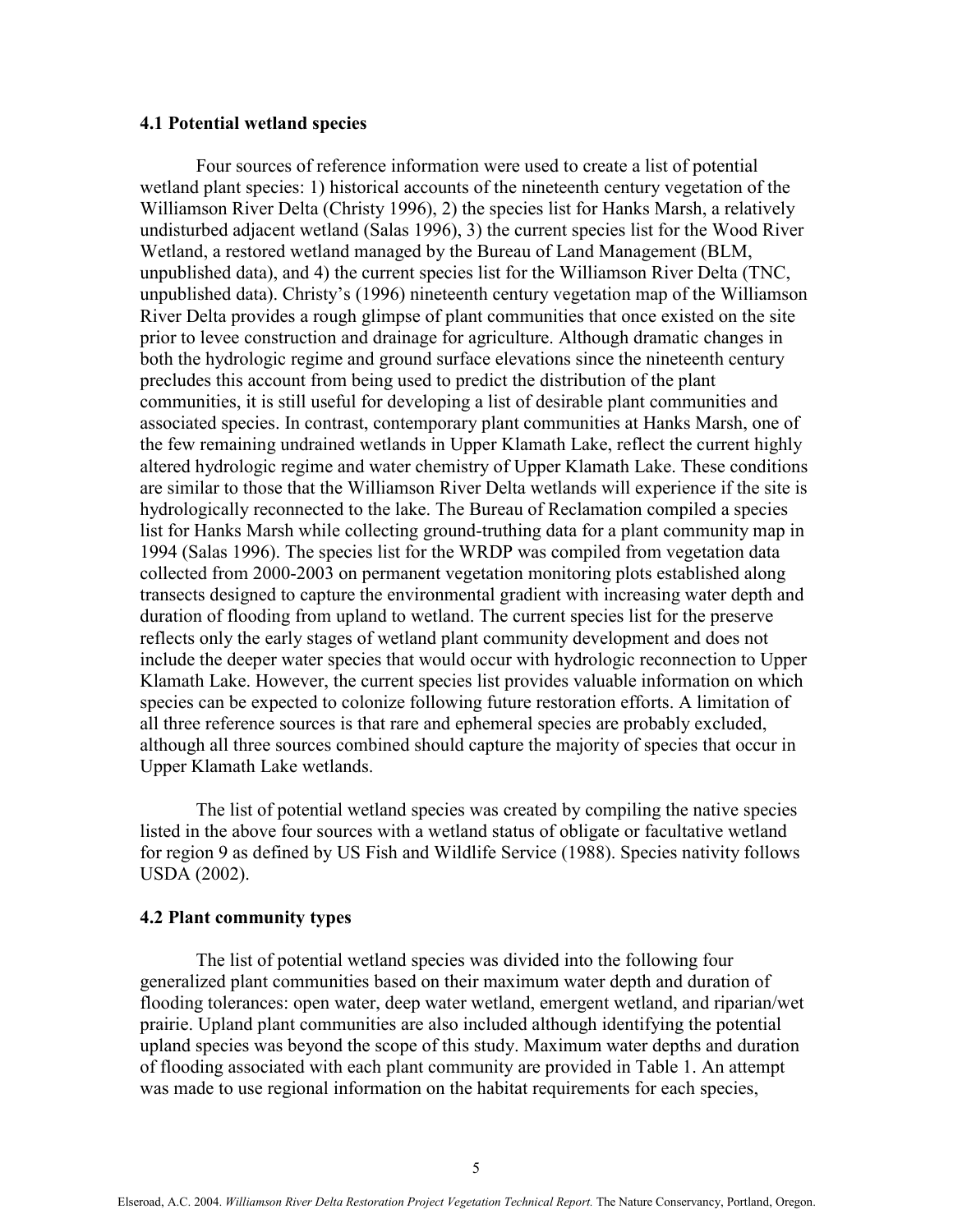# 4.1 Potential wetland species

Four sources of reference information were used to create a list of potential wetland plant species: 1) historical accounts of the nineteenth century vegetation of the Williamson River Delta (Christy 1996), 2) the species list for Hanks Marsh, a relatively undisturbed adjacent wetland (Salas 1996), 3) the current species list for the Wood River Wetland, a restored wetland managed by the Bureau of Land Management (BLM, unpublished data), and 4) the current species list for the Williamson River Delta (TNC, unpublished data). Christy's (1996) nineteenth century vegetation map of the Williamson River Delta provides a rough glimpse of plant communities that once existed on the site prior to levee construction and drainage for agriculture. Although dramatic changes in both the hydrologic regime and ground surface elevations since the nineteenth century precludes this account from being used to predict the distribution of the plant communities, it is still useful for developing a list of desirable plant communities and associated species. In contrast, contemporary plant communities at Hanks Marsh, one of the few remaining undrained wetlands in Upper Klamath Lake, reflect the current highly altered hydrologic regime and water chemistry of Upper Klamath Lake. These conditions are similar to those that the Williamson River Delta wetlands will experience if the site is hydrologically reconnected to the lake. The Bureau of Reclamation compiled a species list for Hanks Marsh while collecting ground-truthing data for a plant community map in 1994 (Salas 1996). The species list for the WRDP was compiled from vegetation data collected from 2000-2003 on permanent vegetation monitoring plots established along transects designed to capture the environmental gradient with increasing water depth and duration of flooding from upland to wetland. The current species list for the preserve reflects only the early stages of wetland plant community development and does not include the deeper water species that would occur with hydrologic reconnection to Upper Klamath Lake. However, the current species list provides valuable information on which species can be expected to colonize following future restoration efforts. A limitation of all three reference sources is that rare and ephemeral species are probably excluded, although all three sources combined should capture the majority of species that occur in Upper Klamath Lake wetlands.

The list of potential wetland species was created by compiling the native species listed in the above four sources with a wetland status of obligate or facultative wetland for region 9 as defined by US Fish and Wildlife Service (1988). Species nativity follows USDA (2002).

#### 4.2 Plant community types

The list of potential wetland species was divided into the following four generalized plant communities based on their maximum water depth and duration of flooding tolerances: open water, deep water wetland, emergent wetland, and riparian/wet prairie. Upland plant communities are also included although identifying the potential upland species was beyond the scope of this study. Maximum water depths and duration of flooding associated with each plant community are provided in Table 1. An attempt was made to use regional information on the habitat requirements for each species,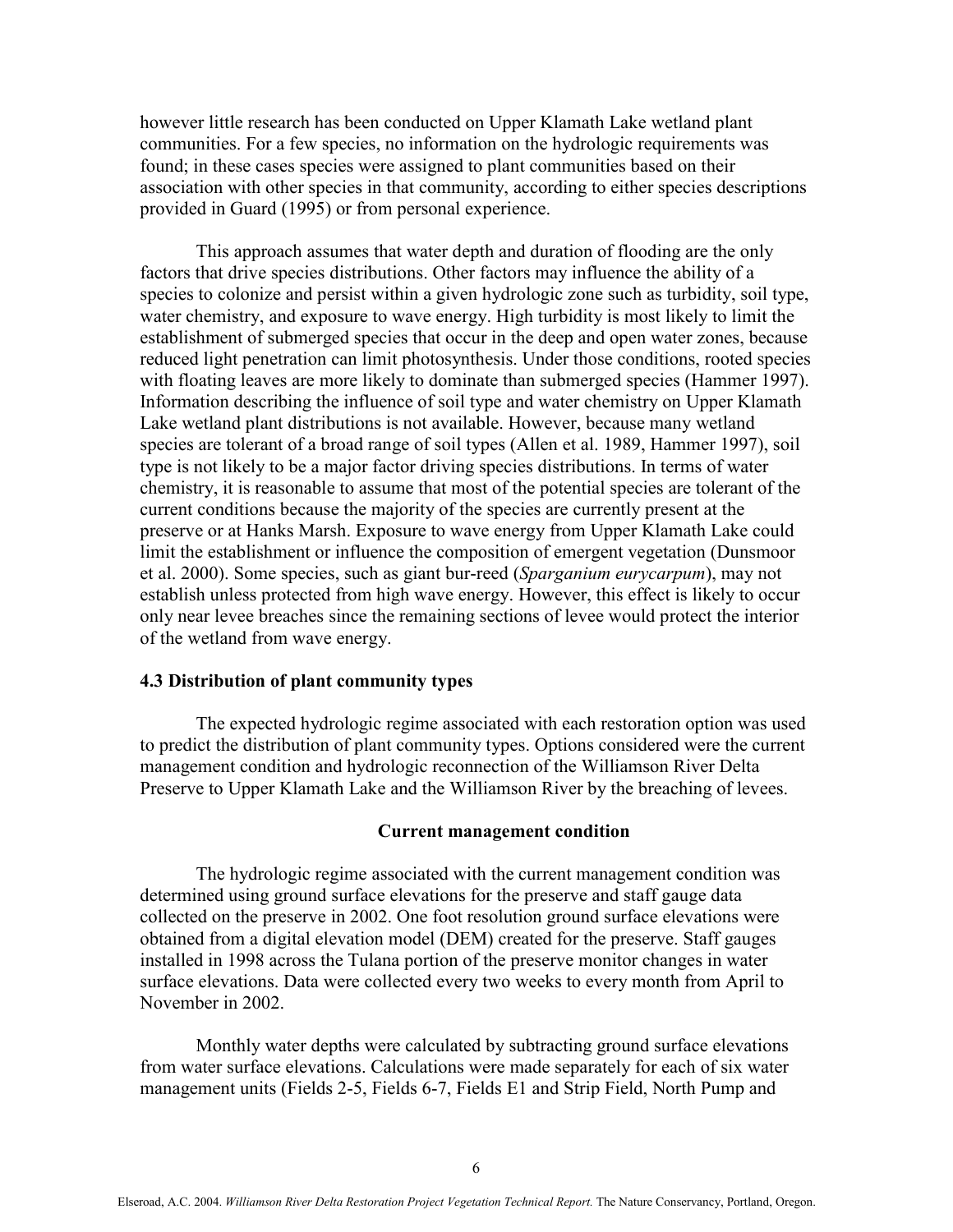however little research has been conducted on Upper Klamath Lake wetland plant communities. For a few species, no information on the hydrologic requirements was found; in these cases species were assigned to plant communities based on their association with other species in that community, according to either species descriptions provided in Guard (1995) or from personal experience.

This approach assumes that water depth and duration of flooding are the only factors that drive species distributions. Other factors may influence the ability of a species to colonize and persist within a given hydrologic zone such as turbidity, soil type, water chemistry, and exposure to wave energy. High turbidity is most likely to limit the establishment of submerged species that occur in the deep and open water zones, because reduced light penetration can limit photosynthesis. Under those conditions, rooted species with floating leaves are more likely to dominate than submerged species (Hammer 1997). Information describing the influence of soil type and water chemistry on Upper Klamath Lake wetland plant distributions is not available. However, because many wetland species are tolerant of a broad range of soil types (Allen et al. 1989, Hammer 1997), soil type is not likely to be a major factor driving species distributions. In terms of water chemistry, it is reasonable to assume that most of the potential species are tolerant of the current conditions because the majority of the species are currently present at the preserve or at Hanks Marsh. Exposure to wave energy from Upper Klamath Lake could limit the establishment or influence the composition of emergent vegetation (Dunsmoor et al. 2000). Some species, such as giant bur-reed (Sparganium eurycarpum), may not establish unless protected from high wave energy. However, this effect is likely to occur only near levee breaches since the remaining sections of levee would protect the interior of the wetland from wave energy.

#### 4.3 Distribution of plant community types

 The expected hydrologic regime associated with each restoration option was used to predict the distribution of plant community types. Options considered were the current management condition and hydrologic reconnection of the Williamson River Delta Preserve to Upper Klamath Lake and the Williamson River by the breaching of levees.

#### Current management condition

The hydrologic regime associated with the current management condition was determined using ground surface elevations for the preserve and staff gauge data collected on the preserve in 2002. One foot resolution ground surface elevations were obtained from a digital elevation model (DEM) created for the preserve. Staff gauges installed in 1998 across the Tulana portion of the preserve monitor changes in water surface elevations. Data were collected every two weeks to every month from April to November in 2002.

Monthly water depths were calculated by subtracting ground surface elevations from water surface elevations. Calculations were made separately for each of six water management units (Fields 2-5, Fields 6-7, Fields E1 and Strip Field, North Pump and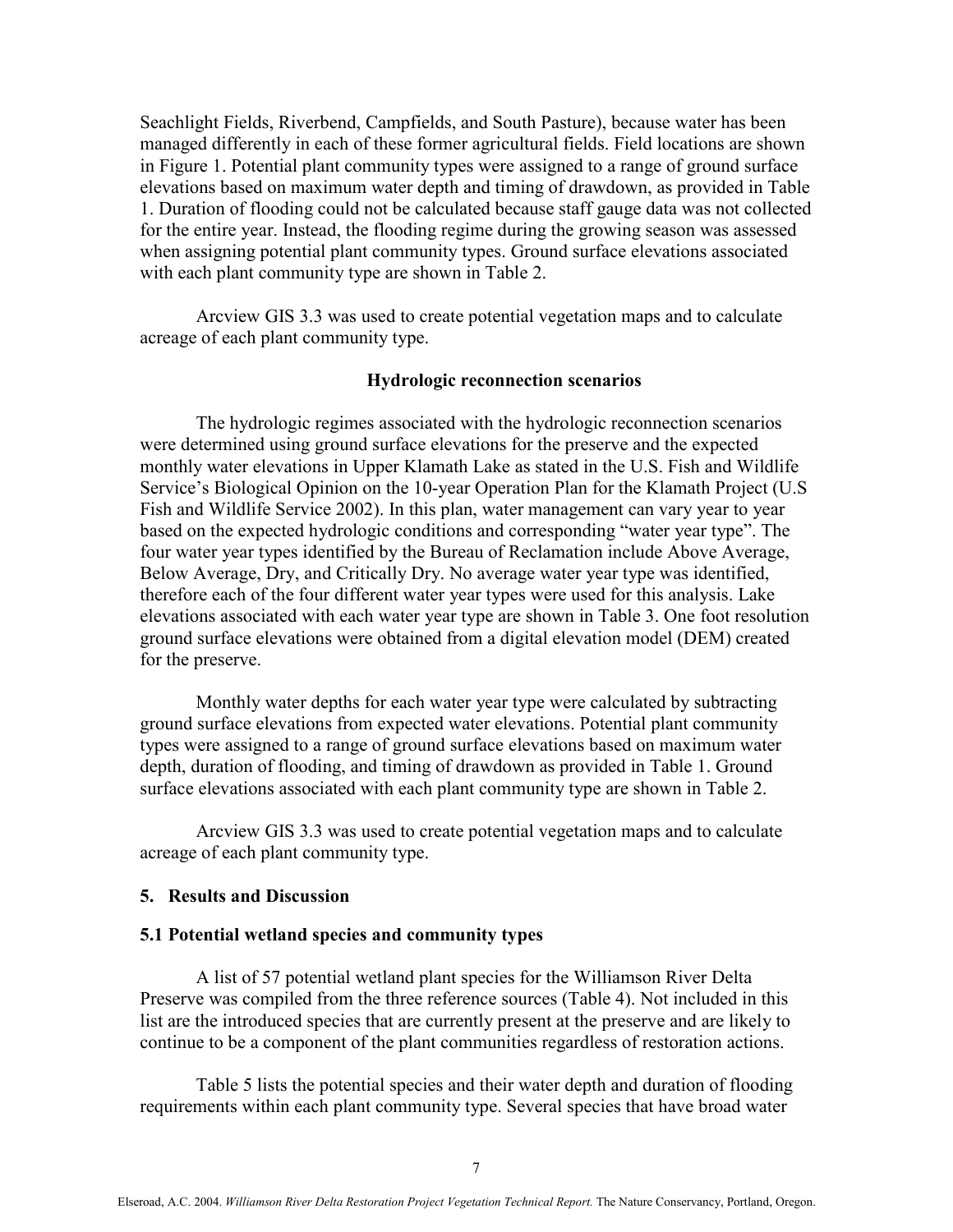Seachlight Fields, Riverbend, Campfields, and South Pasture), because water has been managed differently in each of these former agricultural fields. Field locations are shown in Figure 1. Potential plant community types were assigned to a range of ground surface elevations based on maximum water depth and timing of drawdown, as provided in Table 1. Duration of flooding could not be calculated because staff gauge data was not collected for the entire year. Instead, the flooding regime during the growing season was assessed when assigning potential plant community types. Ground surface elevations associated with each plant community type are shown in Table 2.

Arcview GIS 3.3 was used to create potential vegetation maps and to calculate acreage of each plant community type.

# Hydrologic reconnection scenarios

The hydrologic regimes associated with the hydrologic reconnection scenarios were determined using ground surface elevations for the preserve and the expected monthly water elevations in Upper Klamath Lake as stated in the U.S. Fish and Wildlife Service's Biological Opinion on the 10-year Operation Plan for the Klamath Project (U.S Fish and Wildlife Service 2002). In this plan, water management can vary year to year based on the expected hydrologic conditions and corresponding "water year type". The four water year types identified by the Bureau of Reclamation include Above Average, Below Average, Dry, and Critically Dry. No average water year type was identified, therefore each of the four different water year types were used for this analysis. Lake elevations associated with each water year type are shown in Table 3. One foot resolution ground surface elevations were obtained from a digital elevation model (DEM) created for the preserve.

Monthly water depths for each water year type were calculated by subtracting ground surface elevations from expected water elevations. Potential plant community types were assigned to a range of ground surface elevations based on maximum water depth, duration of flooding, and timing of drawdown as provided in Table 1. Ground surface elevations associated with each plant community type are shown in Table 2.

Arcview GIS 3.3 was used to create potential vegetation maps and to calculate acreage of each plant community type.

#### 5. Results and Discussion

#### 5.1 Potential wetland species and community types

A list of 57 potential wetland plant species for the Williamson River Delta Preserve was compiled from the three reference sources (Table 4). Not included in this list are the introduced species that are currently present at the preserve and are likely to continue to be a component of the plant communities regardless of restoration actions.

Table 5 lists the potential species and their water depth and duration of flooding requirements within each plant community type. Several species that have broad water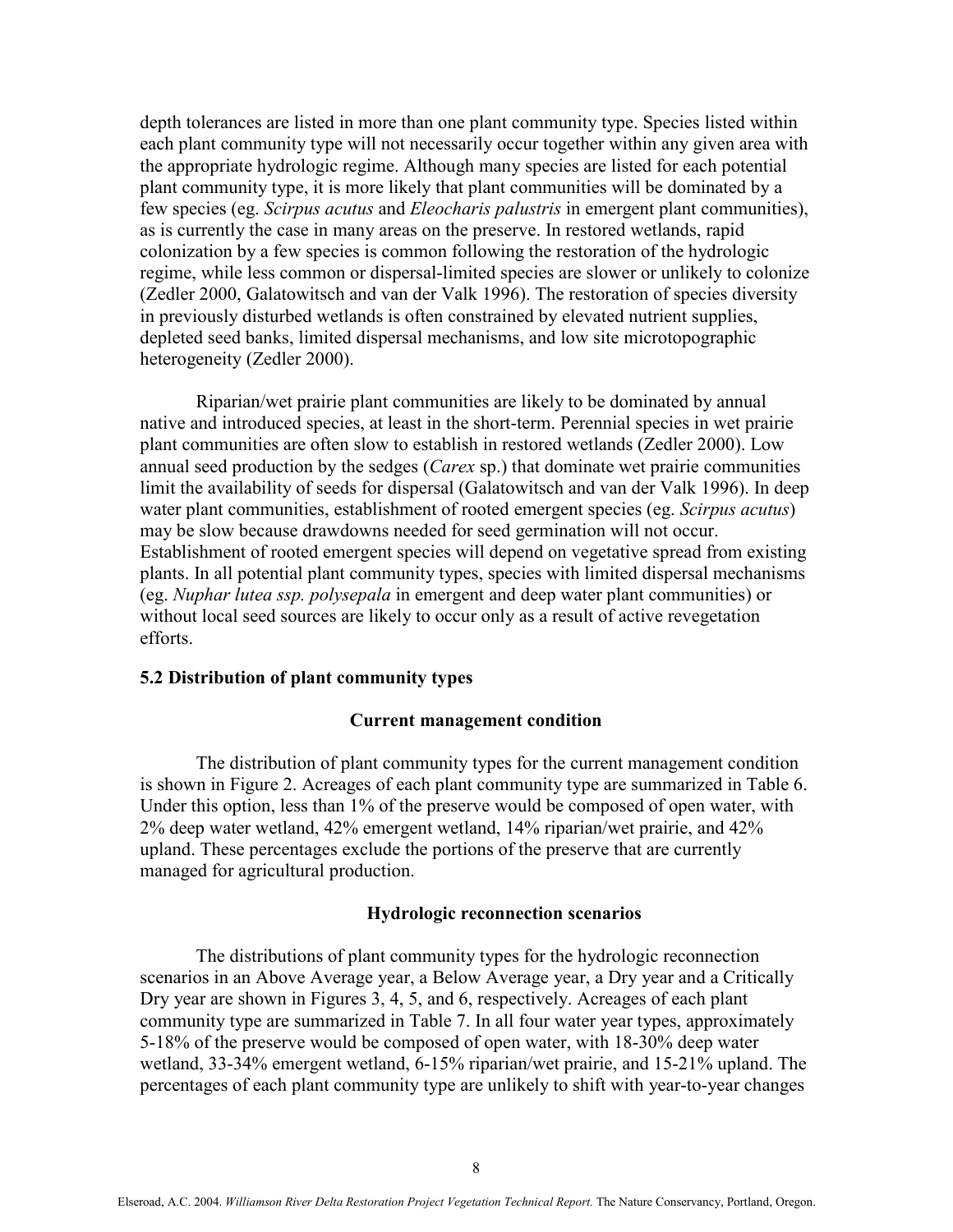depth tolerances are listed in more than one plant community type. Species listed within each plant community type will not necessarily occur together within any given area with the appropriate hydrologic regime. Although many species are listed for each potential plant community type, it is more likely that plant communities will be dominated by a few species (eg. Scirpus acutus and Eleocharis palustris in emergent plant communities), as is currently the case in many areas on the preserve. In restored wetlands, rapid colonization by a few species is common following the restoration of the hydrologic regime, while less common or dispersal-limited species are slower or unlikely to colonize (Zedler 2000, Galatowitsch and van der Valk 1996). The restoration of species diversity in previously disturbed wetlands is often constrained by elevated nutrient supplies, depleted seed banks, limited dispersal mechanisms, and low site microtopographic heterogeneity (Zedler 2000).

Riparian/wet prairie plant communities are likely to be dominated by annual native and introduced species, at least in the short-term. Perennial species in wet prairie plant communities are often slow to establish in restored wetlands (Zedler 2000). Low annual seed production by the sedges (*Carex sp.*) that dominate wet prairie communities limit the availability of seeds for dispersal (Galatowitsch and van der Valk 1996). In deep water plant communities, establishment of rooted emergent species (eg. Scirpus acutus) may be slow because drawdowns needed for seed germination will not occur. Establishment of rooted emergent species will depend on vegetative spread from existing plants. In all potential plant community types, species with limited dispersal mechanisms (eg. Nuphar lutea ssp. polysepala in emergent and deep water plant communities) or without local seed sources are likely to occur only as a result of active revegetation efforts.

# 5.2 Distribution of plant community types

# Current management condition

The distribution of plant community types for the current management condition is shown in Figure 2. Acreages of each plant community type are summarized in Table 6. Under this option, less than 1% of the preserve would be composed of open water, with 2% deep water wetland, 42% emergent wetland, 14% riparian/wet prairie, and 42% upland. These percentages exclude the portions of the preserve that are currently managed for agricultural production.

#### Hydrologic reconnection scenarios

The distributions of plant community types for the hydrologic reconnection scenarios in an Above Average year, a Below Average year, a Dry year and a Critically Dry year are shown in Figures 3, 4, 5, and 6, respectively. Acreages of each plant community type are summarized in Table 7. In all four water year types, approximately 5-18% of the preserve would be composed of open water, with 18-30% deep water wetland, 33-34% emergent wetland, 6-15% riparian/wet prairie, and 15-21% upland. The percentages of each plant community type are unlikely to shift with year-to-year changes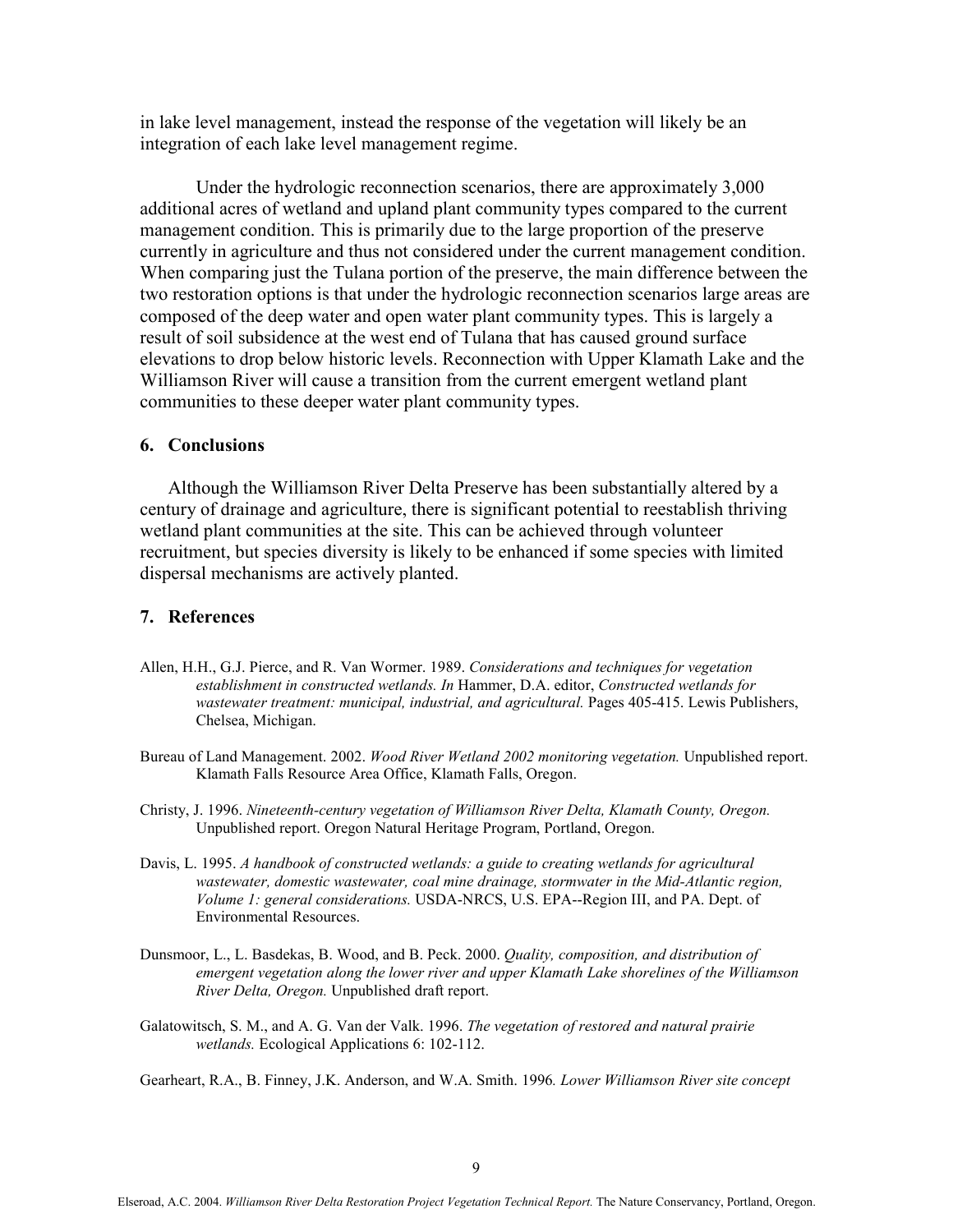in lake level management, instead the response of the vegetation will likely be an integration of each lake level management regime.

Under the hydrologic reconnection scenarios, there are approximately 3,000 additional acres of wetland and upland plant community types compared to the current management condition. This is primarily due to the large proportion of the preserve currently in agriculture and thus not considered under the current management condition. When comparing just the Tulana portion of the preserve, the main difference between the two restoration options is that under the hydrologic reconnection scenarios large areas are composed of the deep water and open water plant community types. This is largely a result of soil subsidence at the west end of Tulana that has caused ground surface elevations to drop below historic levels. Reconnection with Upper Klamath Lake and the Williamson River will cause a transition from the current emergent wetland plant communities to these deeper water plant community types.

# 6. Conclusions

Although the Williamson River Delta Preserve has been substantially altered by a century of drainage and agriculture, there is significant potential to reestablish thriving wetland plant communities at the site. This can be achieved through volunteer recruitment, but species diversity is likely to be enhanced if some species with limited dispersal mechanisms are actively planted.

# 7. References

- Allen, H.H., G.J. Pierce, and R. Van Wormer. 1989. Considerations and techniques for vegetation establishment in constructed wetlands. In Hammer, D.A. editor, Constructed wetlands for wastewater treatment: municipal, industrial, and agricultural. Pages 405-415. Lewis Publishers, Chelsea, Michigan.
- Bureau of Land Management. 2002. Wood River Wetland 2002 monitoring vegetation. Unpublished report. Klamath Falls Resource Area Office, Klamath Falls, Oregon.
- Christy, J. 1996. Nineteenth-century vegetation of Williamson River Delta, Klamath County, Oregon. Unpublished report. Oregon Natural Heritage Program, Portland, Oregon.
- Davis, L. 1995. A handbook of constructed wetlands: a guide to creating wetlands for agricultural wastewater, domestic wastewater, coal mine drainage, stormwater in the Mid-Atlantic region, Volume 1: general considerations. USDA-NRCS, U.S. EPA--Region III, and PA. Dept. of Environmental Resources.
- Dunsmoor, L., L. Basdekas, B. Wood, and B. Peck. 2000. *Quality, composition, and distribution of* emergent vegetation along the lower river and upper Klamath Lake shorelines of the Williamson River Delta, Oregon. Unpublished draft report.
- Galatowitsch, S. M., and A. G. Van der Valk. 1996. The vegetation of restored and natural prairie wetlands. Ecological Applications 6: 102-112.

Gearheart, R.A., B. Finney, J.K. Anderson, and W.A. Smith. 1996. Lower Williamson River site concept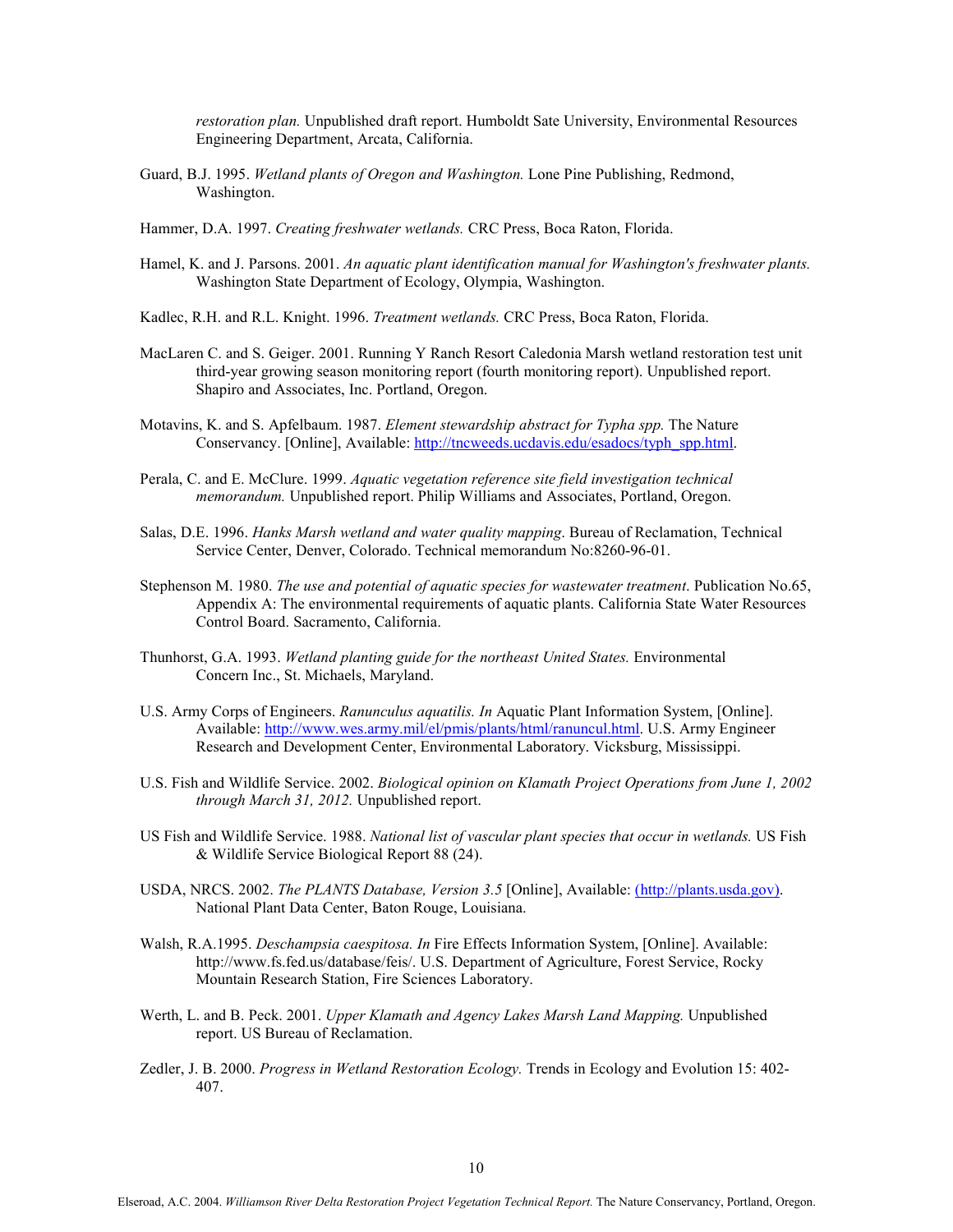restoration plan. Unpublished draft report. Humboldt Sate University, Environmental Resources Engineering Department, Arcata, California.

- Guard, B.J. 1995. Wetland plants of Oregon and Washington. Lone Pine Publishing, Redmond, Washington.
- Hammer, D.A. 1997. Creating freshwater wetlands. CRC Press, Boca Raton, Florida.
- Hamel, K. and J. Parsons. 2001. An aquatic plant identification manual for Washington's freshwater plants. Washington State Department of Ecology, Olympia, Washington.
- Kadlec, R.H. and R.L. Knight. 1996. Treatment wetlands. CRC Press, Boca Raton, Florida.
- MacLaren C. and S. Geiger. 2001. Running Y Ranch Resort Caledonia Marsh wetland restoration test unit third-year growing season monitoring report (fourth monitoring report). Unpublished report. Shapiro and Associates, Inc. Portland, Oregon.
- Motavins, K. and S. Apfelbaum. 1987. Element stewardship abstract for Typha spp. The Nature Conservancy. [Online], Available: http://tncweeds.ucdavis.edu/esadocs/typh\_spp.html.
- Perala, C. and E. McClure. 1999. Aquatic vegetation reference site field investigation technical memorandum. Unpublished report. Philip Williams and Associates, Portland, Oregon.
- Salas, D.E. 1996. Hanks Marsh wetland and water quality mapping. Bureau of Reclamation, Technical Service Center, Denver, Colorado. Technical memorandum No:8260-96-01.
- Stephenson M. 1980. The use and potential of aquatic species for wastewater treatment. Publication No.65, Appendix A: The environmental requirements of aquatic plants. California State Water Resources Control Board. Sacramento, California.
- Thunhorst, G.A. 1993. Wetland planting guide for the northeast United States. Environmental Concern Inc., St. Michaels, Maryland.
- U.S. Army Corps of Engineers. Ranunculus aquatilis. In Aquatic Plant Information System, [Online]. Available: http://www.wes.army.mil/el/pmis/plants/html/ranuncul.html. U.S. Army Engineer Research and Development Center, Environmental Laboratory. Vicksburg, Mississippi.
- U.S. Fish and Wildlife Service. 2002. Biological opinion on Klamath Project Operations from June 1, 2002 through March 31, 2012. Unpublished report.
- US Fish and Wildlife Service. 1988. National list of vascular plant species that occur in wetlands. US Fish & Wildlife Service Biological Report 88 (24).
- USDA, NRCS. 2002. The PLANTS Database, Version 3.5 [Online], Available: (http://plants.usda.gov). National Plant Data Center, Baton Rouge, Louisiana.
- Walsh, R.A.1995. Deschampsia caespitosa. In Fire Effects Information System, [Online]. Available: http://www.fs.fed.us/database/feis/. U.S. Department of Agriculture, Forest Service, Rocky Mountain Research Station, Fire Sciences Laboratory.
- Werth, L. and B. Peck. 2001. Upper Klamath and Agency Lakes Marsh Land Mapping. Unpublished report. US Bureau of Reclamation.
- Zedler, J. B. 2000. Progress in Wetland Restoration Ecology. Trends in Ecology and Evolution 15: 402-407.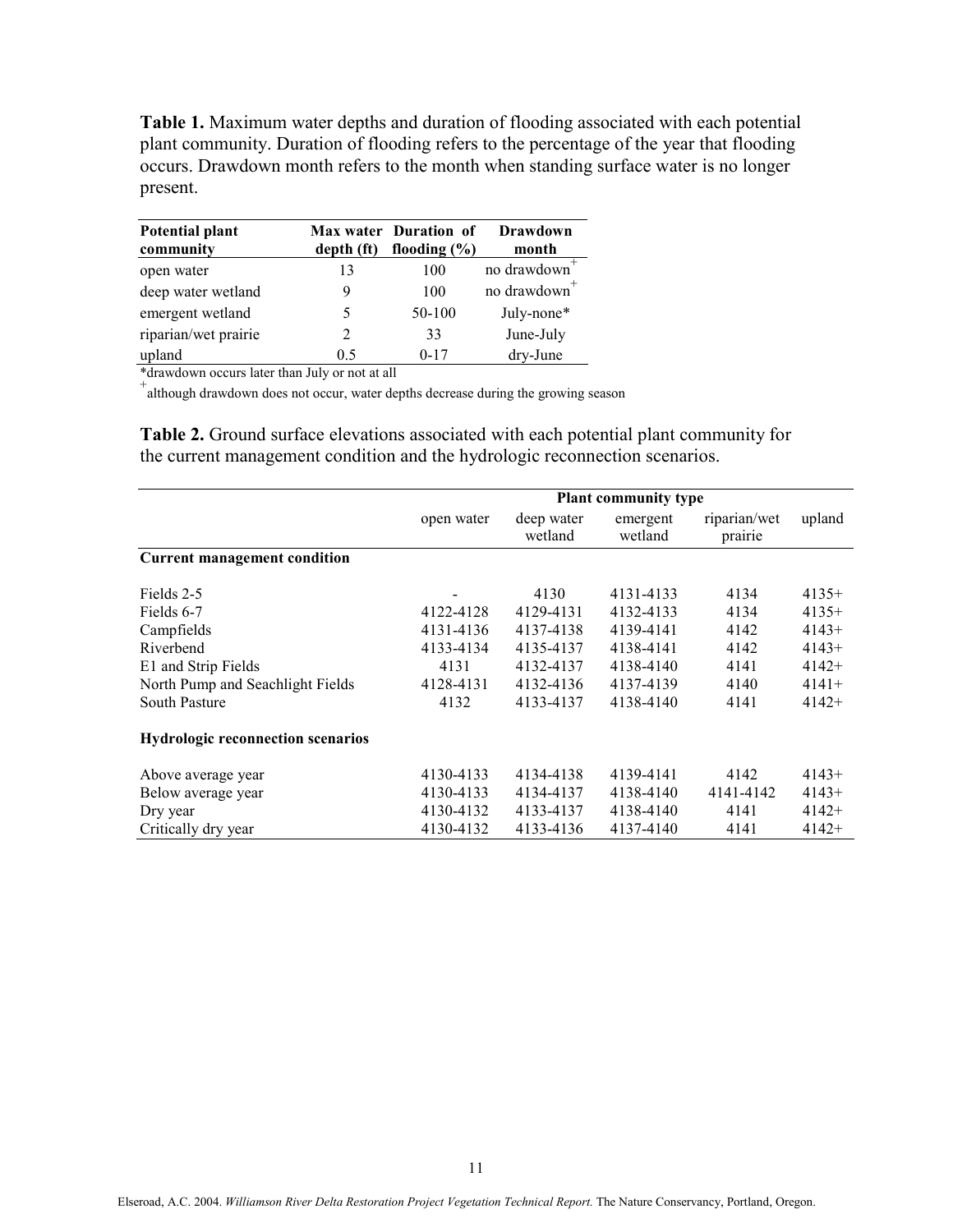Table 1. Maximum water depths and duration of flooding associated with each potential plant community. Duration of flooding refers to the percentage of the year that flooding occurs. Drawdown month refers to the month when standing surface water is no longer present.

| Potential plant<br>community | depth (ft)     | Max water Duration of<br>flooding $(\% )$ | Drawdown<br>month        |
|------------------------------|----------------|-------------------------------------------|--------------------------|
| open water                   | 13             | 100                                       | no drawdown <sup>+</sup> |
| deep water wetland           | 9              | 100                                       | no drawdown              |
| emergent wetland             | 5              | 50-100                                    | July-none*               |
| riparian/wet prairie         | $\overline{2}$ | 33                                        | June-July                |
| upland                       | 05             | $0-17$                                    | dry-June                 |

\*drawdown occurs later than July or not at all

+ although drawdown does not occur, water depths decrease during the growing season

Table 2. Ground surface elevations associated with each potential plant community for the current management condition and the hydrologic reconnection scenarios.

|                                          | <b>Plant community type</b> |                       |                     |                         |         |  |
|------------------------------------------|-----------------------------|-----------------------|---------------------|-------------------------|---------|--|
|                                          | open water                  | deep water<br>wetland | emergent<br>wetland | riparian/wet<br>prairie | upland  |  |
| <b>Current management condition</b>      |                             |                       |                     |                         |         |  |
| Fields 2-5                               |                             | 4130                  | 4131-4133           | 4134                    | $4135+$ |  |
| Fields 6-7                               | 4122-4128                   | 4129-4131             | 4132-4133           | 4134                    | $4135+$ |  |
| Campfields                               | 4131-4136                   | 4137-4138             | 4139-4141           | 4142                    | $4143+$ |  |
| Riverbend                                | 4133-4134                   | 4135-4137             | 4138-4141           | 4142                    | $4143+$ |  |
| E1 and Strip Fields                      | 4131                        | 4132-4137             | 4138-4140           | 4141                    | $4142+$ |  |
| North Pump and Seachlight Fields         | 4128-4131                   | 4132-4136             | 4137-4139           | 4140                    | $4141+$ |  |
| <b>South Pasture</b>                     | 4132                        |                       | 4138-4140           | 4141                    | $4142+$ |  |
| <b>Hydrologic reconnection scenarios</b> |                             |                       |                     |                         |         |  |
| Above average year                       | 4130-4133                   | 4134-4138             | 4139-4141           | 4142                    | $4143+$ |  |
| Below average year                       | 4130-4133                   | 4134-4137             | 4138-4140           | 4141-4142               | $4143+$ |  |
| Dry year                                 | 4130-4132                   | 4133-4137             | 4138-4140           | 4141                    | $4142+$ |  |
| Critically dry year                      | 4130-4132                   | 4133-4136             | 4137-4140           | 4141                    | $4142+$ |  |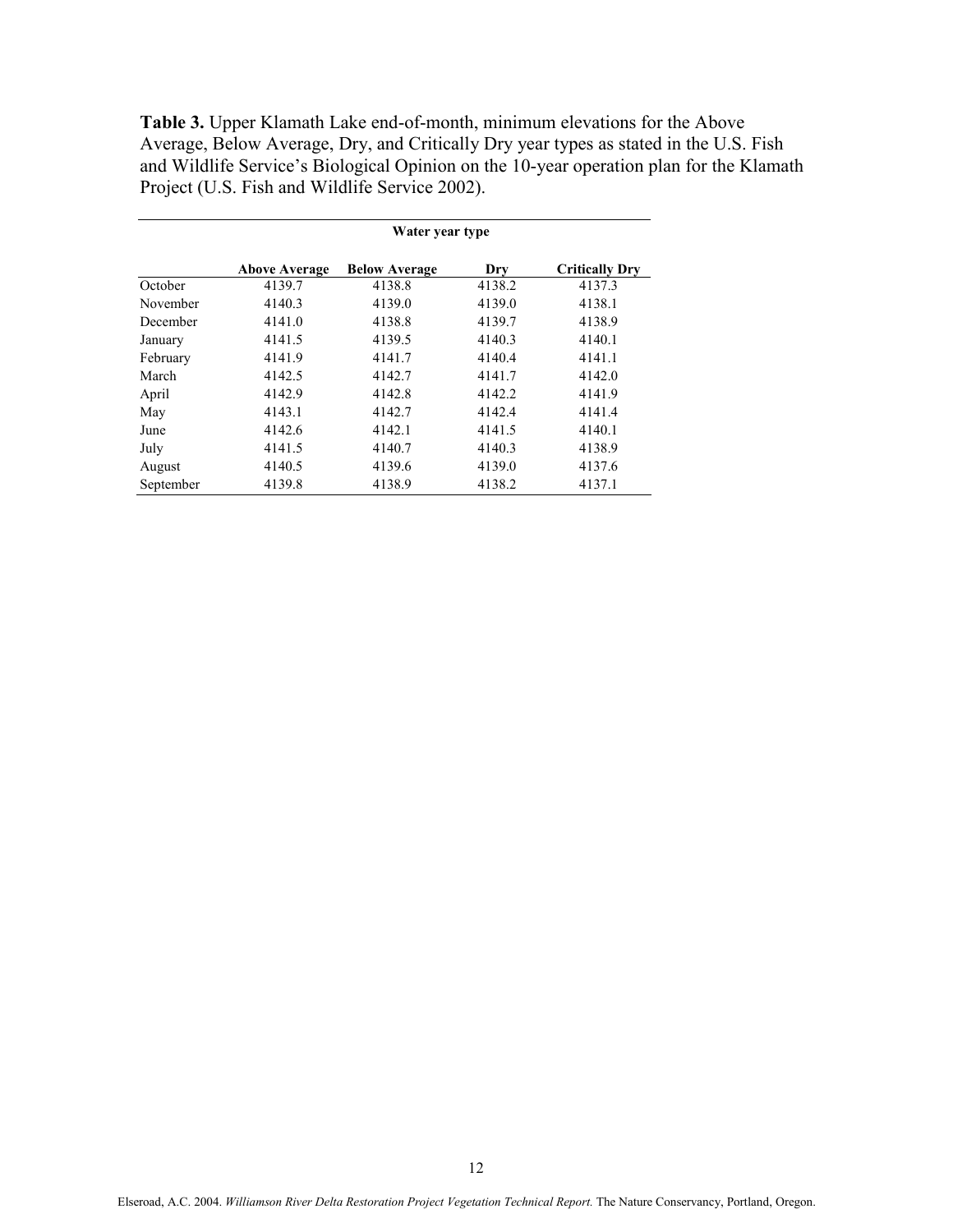Table 3. Upper Klamath Lake end-of-month, minimum elevations for the Above Average, Below Average, Dry, and Critically Dry year types as stated in the U.S. Fish and Wildlife Service's Biological Opinion on the 10-year operation plan for the Klamath Project (U.S. Fish and Wildlife Service 2002).

|           | Water year type      |                      |        |                       |  |  |
|-----------|----------------------|----------------------|--------|-----------------------|--|--|
|           | <b>Above Average</b> | <b>Below Average</b> | Dry    | <b>Critically Dry</b> |  |  |
| October   | 4139.7               | 4138.8               | 4138.2 | 4137.3                |  |  |
| November  | 4140.3               | 4139.0               | 4139.0 | 4138.1                |  |  |
| December  | 4141.0               | 4138.8               | 4139.7 | 4138.9                |  |  |
| January   | 4141.5               | 4139.5               | 4140.3 | 4140.1                |  |  |
| February  | 4141.9               | 4141.7               | 4140.4 | 4141.1                |  |  |
| March     | 4142.5               | 4142.7               | 4141.7 | 4142.0                |  |  |
| April     | 4142.9               | 4142.8               | 4142.2 | 4141.9                |  |  |
| May       | 4143.1               | 4142.7               | 4142.4 | 4141.4                |  |  |
| June      | 4142.6               | 4142.1               | 4141.5 | 4140.1                |  |  |
| July      | 4141.5               | 4140.7               | 4140.3 | 4138.9                |  |  |
| August    | 4140.5               | 4139.6               | 4139.0 | 4137.6                |  |  |
| September | 4139.8               | 4138.9               | 4138.2 | 4137.1                |  |  |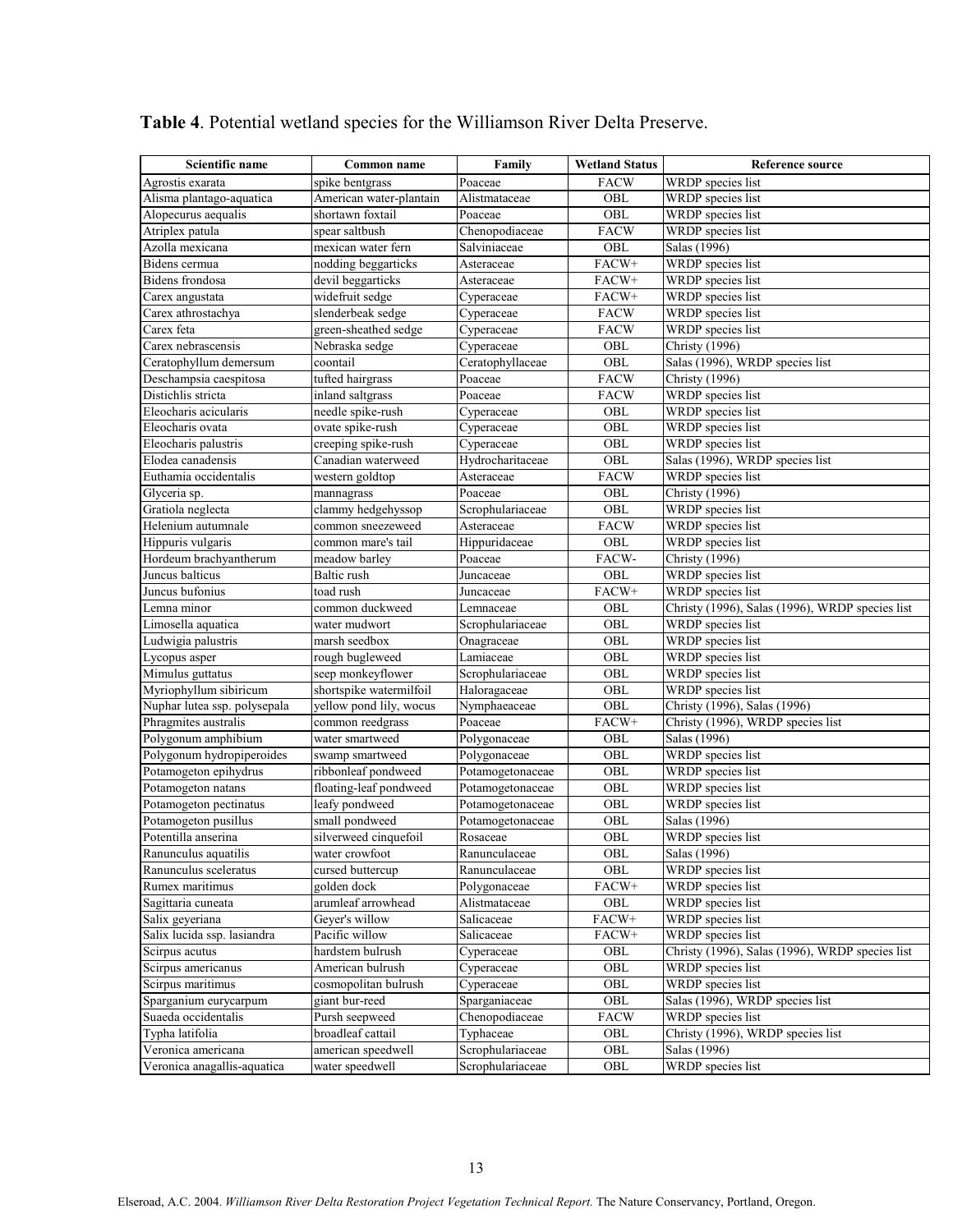| Scientific name              | Common name             | Family           | <b>Wetland Status</b> | Reference source                                |
|------------------------------|-------------------------|------------------|-----------------------|-------------------------------------------------|
| Agrostis exarata             | spike bentgrass         | Poaceae          | <b>FACW</b>           | WRDP species list                               |
| Alisma plantago-aquatica     | American water-plantain | Alistmataceae    | OBL                   | WRDP species list                               |
| Alopecurus aequalis          | shortawn foxtail        | Poaceae          | OBL                   | WRDP species list                               |
| Atriplex patula              | spear saltbush          | Chenopodiaceae   | <b>FACW</b>           | WRDP species list                               |
| Azolla mexicana              | mexican water fern      | Salviniaceae     | OBL                   | Salas (1996)                                    |
| Bidens cermua                | nodding beggarticks     | Asteraceae       | FACW+                 | WRDP species list                               |
| Bidens frondosa              | devil beggarticks       | Asteraceae       | FACW+                 | WRDP species list                               |
| Carex angustata              | widefruit sedge         | Cyperaceae       | FACW+                 | WRDP species list                               |
| Carex athrostachya           | slenderbeak sedge       | Cyperaceae       | <b>FACW</b>           | WRDP species list                               |
| Carex feta                   | green-sheathed sedge    | Cyperaceae       | <b>FACW</b>           | WRDP species list                               |
| Carex nebrascensis           | Nebraska sedge          | Cyperaceae       | OBL                   | <b>Christy</b> (1996)                           |
| Ceratophyllum demersum       | coontail                | Ceratophyllaceae | OBL                   | Salas (1996), WRDP species list                 |
| Deschampsia caespitosa       | tufted hairgrass        | Poaceae          | <b>FACW</b>           | <b>Christy</b> (1996)                           |
| Distichlis stricta           | inland saltgrass        | Poaceae          | <b>FACW</b>           | WRDP species list                               |
| Eleocharis acicularis        | needle spike-rush       | Cyperaceae       | OBL                   | WRDP species list                               |
| Eleocharis ovata             | ovate spike-rush        | Cyperaceae       | OBL                   | WRDP species list                               |
| Eleocharis palustris         | creeping spike-rush     | Cyperaceae       | OBL                   | WRDP species list                               |
| Elodea canadensis            | Canadian waterweed      | Hydrocharitaceae | OBL                   | Salas (1996), WRDP species list                 |
| Euthamia occidentalis        | western goldtop         | Asteraceae       | <b>FACW</b>           | WRDP species list                               |
| Glyceria sp.                 | mannagrass              | Poaceae          | OBL                   | <b>Christy</b> (1996)                           |
| Gratiola neglecta            | clammy hedgehyssop      | Scrophulariaceae | OBL                   | WRDP species list                               |
| Helenium autumnale           | common sneezeweed       | Asteraceae       | <b>FACW</b>           | WRDP species list                               |
| Hippuris vulgaris            | common mare's tail      | Hippuridaceae    | OBL                   | WRDP species list                               |
| Hordeum brachyantherum       | meadow barley           | Poaceae          | FACW-                 | <b>Christy</b> (1996)                           |
| Juncus balticus              | Baltic rush             | Juncaceae        | OBL                   | WRDP species list                               |
| Juncus bufonius              | toad rush               | Juncaceae        | FACW+                 | WRDP species list                               |
| Lemna minor                  | common duckweed         | Lemnaceae        | OBL                   | Christy (1996), Salas (1996), WRDP species list |
| Limosella aquatica           | water mudwort           | Scrophulariaceae | OBL                   | WRDP species list                               |
| Ludwigia palustris           | marsh seedbox           | Onagraceae       | OBL                   | WRDP species list                               |
| Lycopus asper                | rough bugleweed         | Lamiaceae        | OBL                   | WRDP species list                               |
| Mimulus guttatus             | seep monkeyflower       | Scrophulariaceae | OBL                   | WRDP species list                               |
| Myriophyllum sibiricum       | shortspike watermilfoil | Haloragaceae     | $\rm OBL$             | WRDP species list                               |
| Nuphar lutea ssp. polysepala | yellow pond lily, wocus | Nymphaeaceae     | OBL                   | Christy (1996), Salas (1996)                    |
| Phragmites australis         | common reedgrass        | Poaceae          | FACW+                 | Christy (1996), WRDP species list               |
| Polygonum amphibium          | water smartweed         | Polygonaceae     | OBL                   | Salas (1996)                                    |
| Polygonum hydropiperoides    | swamp smartweed         | Polygonaceae     | OBL                   | WRDP species list                               |
| Potamogeton epihydrus        | ribbonleaf pondweed     | Potamogetonaceae | OBL                   | WRDP species list                               |
| Potamogeton natans           | floating-leaf pondweed  | Potamogetonaceae | OBL                   | WRDP species list                               |
| Potamogeton pectinatus       | leafy pondweed          | Potamogetonaceae | $\rm OBL$             | WRDP species list                               |
| Potamogeton pusillus         | small pondweed          | Potamogetonaceae | OBL                   | Salas (1996)                                    |
| Potentilla anserina          | silverweed cinquefoil   | Rosaceae         | OBL                   | WRDP species list                               |
| Ranunculus aquatilis         | water crowfoot          | Ranunculaceae    | OBL                   | Salas (1996)                                    |
| Ranunculus sceleratus        | cursed buttercup        | Ranunculaceae    | OBL                   | WRDP species list                               |
| Rumex maritimus              | golden dock             | Polygonaceae     | FACW+                 | WRDP species list                               |
| Sagittaria cuneata           | arumleaf arrowhead      | Alistmataceae    | OBL                   | WRDP species list                               |
| Salix geyeriana              | Geyer's willow          | Salicaceae       | FACW+                 | WRDP species list                               |
| Salix lucida ssp. lasiandra  | Pacific willow          | Salicaceae       | FACW+                 | WRDP species list                               |
| Scirpus acutus               | hardstem bulrush        | Cyperaceae       | OBL                   | Christy (1996), Salas (1996), WRDP species list |
| Scirpus americanus           | American bulrush        | Cyperaceae       | OBL                   | WRDP species list                               |
| Scirpus maritimus            | cosmopolitan bulrush    | Cyperaceae       | OBL                   | WRDP species list                               |
| Sparganium eurycarpum        | giant bur-reed          | Sparganiaceae    | OBL                   | Salas (1996), WRDP species list                 |
| Suaeda occidentalis          | Pursh seepweed          | Chenopodiaceae   | <b>FACW</b>           | WRDP species list                               |
| Typha latifolia              | broadleaf cattail       | Typhaceae        | OBL                   | Christy (1996), WRDP species list               |
| Veronica americana           | american speedwell      | Scrophulariaceae | OBL                   | Salas (1996)                                    |
| Veronica anagallis-aquatica  | water speedwell         | Scrophulariaceae | OBL                   | WRDP species list                               |

# Table 4. Potential wetland species for the Williamson River Delta Preserve.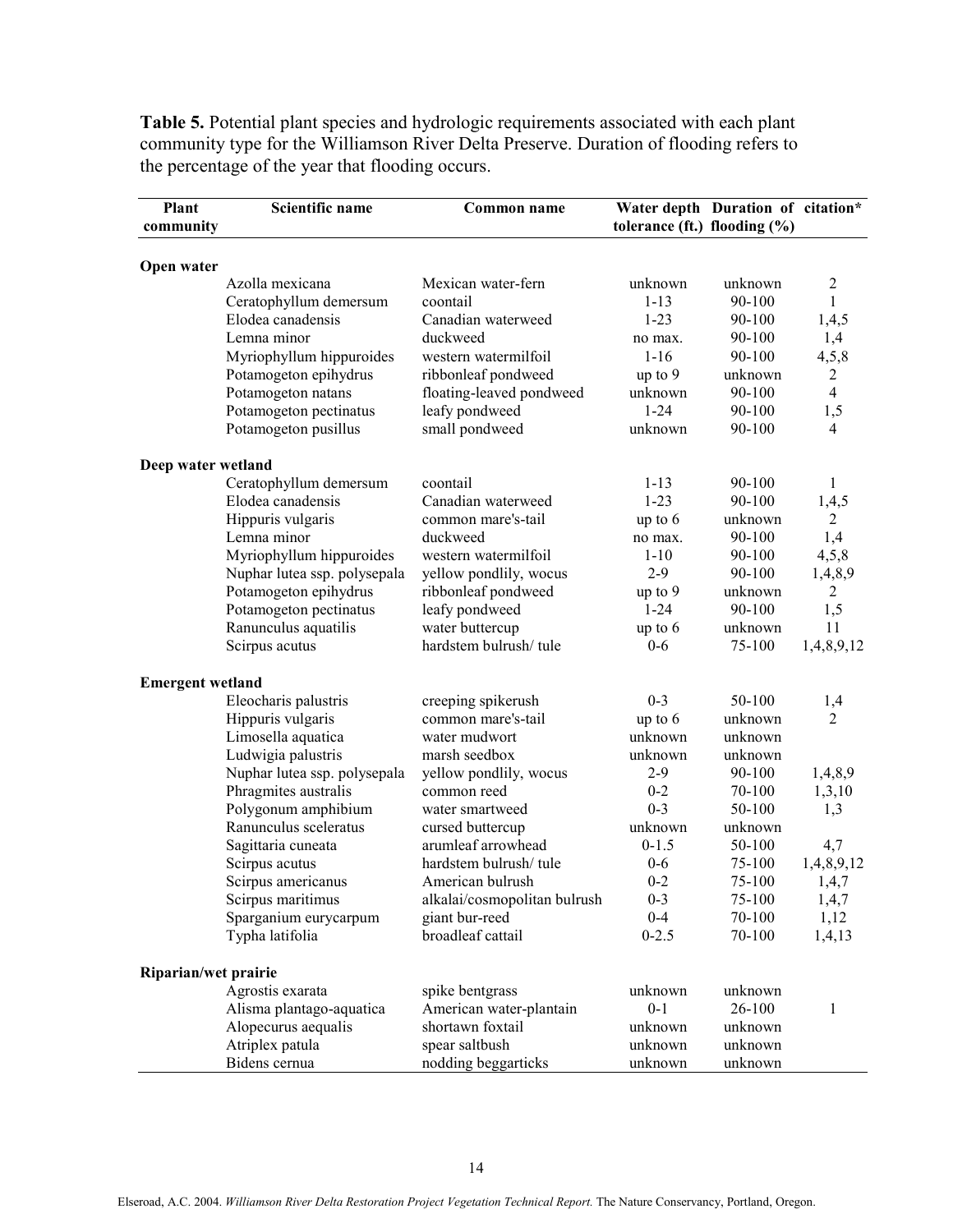Table 5. Potential plant species and hydrologic requirements associated with each plant community type for the Williamson River Delta Preserve. Duration of flooding refers to the percentage of the year that flooding occurs.

| Plant                   | Scientific name              | Common name                  |                                 | Water depth Duration of citation* |                       |  |
|-------------------------|------------------------------|------------------------------|---------------------------------|-----------------------------------|-----------------------|--|
| community               |                              |                              | tolerance (ft.) flooding $(\%)$ |                                   |                       |  |
|                         |                              |                              |                                 |                                   |                       |  |
| Open water              |                              |                              |                                 |                                   |                       |  |
|                         | Azolla mexicana              | Mexican water-fern           | unknown                         | unknown                           | 2                     |  |
|                         | Ceratophyllum demersum       | coontail                     | $1 - 13$                        | 90-100                            | 1                     |  |
|                         | Elodea canadensis            | Canadian waterweed           | $1 - 23$                        | 90-100                            | 1,4,5                 |  |
|                         | Lemna minor                  | duckweed                     | no max.                         | 90-100                            | 1,4                   |  |
|                         | Myriophyllum hippuroides     | western watermilfoil         | $1 - 16$                        | 90-100                            | 4,5,8                 |  |
|                         | Potamogeton epihydrus        | ribbonleaf pondweed          | up to 9                         | unknown                           | $\overline{2}$        |  |
|                         | Potamogeton natans           | floating-leaved pondweed     | unknown                         | 90-100                            | $\overline{4}$        |  |
|                         | Potamogeton pectinatus       | leafy pondweed               | $1 - 24$                        | 90-100                            | 1,5                   |  |
|                         | Potamogeton pusillus         | small pondweed               | unknown                         | 90-100                            | $\overline{4}$        |  |
| Deep water wetland      |                              |                              |                                 |                                   |                       |  |
|                         | Ceratophyllum demersum       | coontail                     | $1 - 13$                        | 90-100                            | 1                     |  |
|                         | Elodea canadensis            | Canadian waterweed           | $1 - 23$                        | 90-100                            | 1,4,5                 |  |
|                         | Hippuris vulgaris            | common mare's-tail           | up to 6                         | unknown                           | $\overline{2}$        |  |
|                         | Lemna minor                  | duckweed                     | no max.                         | 90-100                            | 1,4                   |  |
|                         | Myriophyllum hippuroides     | western watermilfoil         | $1 - 10$                        | 90-100                            | 4,5,8                 |  |
|                         | Nuphar lutea ssp. polysepala | yellow pondlily, wocus       | $2 - 9$                         | 90-100                            | 1,4,8,9               |  |
|                         | Potamogeton epihydrus        | ribbonleaf pondweed          | up to 9                         | unknown                           | $\overline{2}$        |  |
|                         | Potamogeton pectinatus       | leafy pondweed               | $1 - 24$                        | 90-100                            | 1,5                   |  |
|                         | Ranunculus aquatilis         | water buttercup              | up to 6                         | unknown                           | 11                    |  |
|                         | Scirpus acutus               | hardstem bulrush/tule        | $0 - 6$                         | 75-100                            | 1,4,8,9,12            |  |
|                         |                              |                              |                                 |                                   |                       |  |
| <b>Emergent wetland</b> |                              |                              | $0 - 3$                         |                                   |                       |  |
|                         | Eleocharis palustris         | creeping spikerush           |                                 | 50-100                            | 1,4<br>$\overline{2}$ |  |
|                         | Hippuris vulgaris            | common mare's-tail           | up to 6                         | unknown                           |                       |  |
|                         | Limosella aquatica           | water mudwort                | unknown                         | unknown                           |                       |  |
|                         | Ludwigia palustris           | marsh seedbox                | unknown                         | unknown                           |                       |  |
|                         | Nuphar lutea ssp. polysepala | yellow pondlily, wocus       | $2 - 9$                         | 90-100                            | 1,4,8,9               |  |
|                         | Phragmites australis         | common reed                  | $0 - 2$                         | 70-100                            | 1,3,10                |  |
|                         | Polygonum amphibium          | water smartweed              | $0 - 3$                         | 50-100                            | 1,3                   |  |
|                         | Ranunculus sceleratus        | cursed buttercup             | unknown                         | unknown                           |                       |  |
|                         | Sagittaria cuneata           | arumleaf arrowhead           | $0-1.5$                         | 50-100                            | 4,7                   |  |
|                         | Scirpus acutus               | hardstem bulrush/tule        | $0 - 6$                         | 75-100                            | 1,4,8,9,12            |  |
|                         | Scirpus americanus           | American bulrush             | $0 - 2$                         | 75-100                            | 1,4,7                 |  |
|                         | Scirpus maritimus            | alkalai/cosmopolitan bulrush | $0 - 3$                         | 75-100                            | 1,4,7                 |  |
|                         | Sparganium eurycarpum        | giant bur-reed               | $0 - 4$                         | 70-100                            | 1,12                  |  |
|                         | Typha latifolia              | broadleaf cattail            | $0 - 2.5$                       | 70-100                            | 1,4,13                |  |
| Riparian/wet prairie    |                              |                              |                                 |                                   |                       |  |
|                         | Agrostis exarata             | spike bentgrass              | unknown                         | unknown                           |                       |  |
|                         | Alisma plantago-aquatica     | American water-plantain      | $0 - 1$                         | 26-100                            | $\mathbf{1}$          |  |
|                         | Alopecurus aequalis          | shortawn foxtail             | unknown                         | unknown                           |                       |  |
|                         | Atriplex patula              | spear saltbush               | unknown                         | unknown                           |                       |  |
|                         | Bidens cernua                | nodding beggarticks          | unknown                         | unknown                           |                       |  |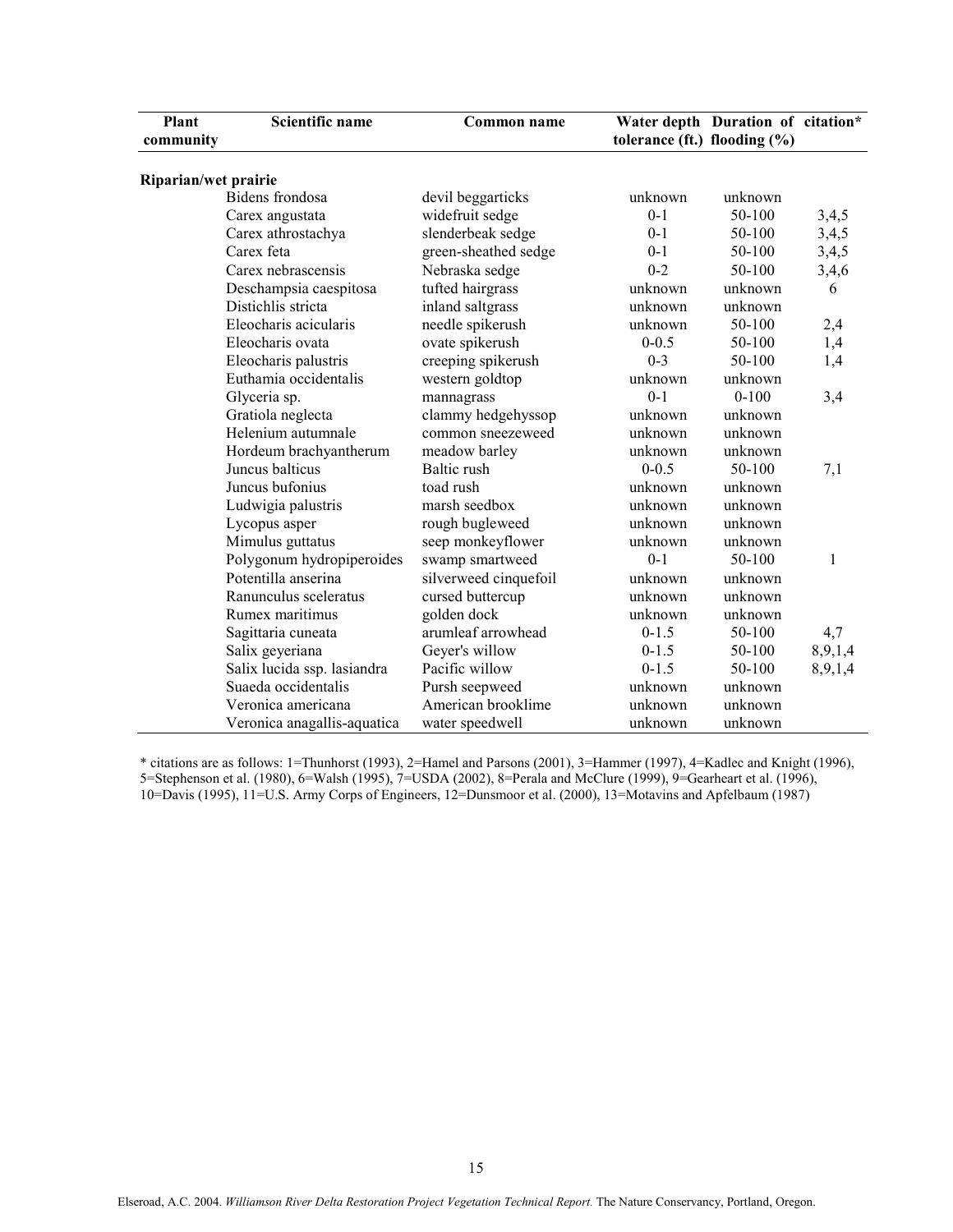| <b>Plant</b><br>community | <b>Scientific name</b>      | tolerance (ft.) flooding $(\% )$ | Water depth Duration of citation* |           |         |
|---------------------------|-----------------------------|----------------------------------|-----------------------------------|-----------|---------|
| Riparian/wet prairie      |                             |                                  |                                   |           |         |
|                           | <b>Bidens</b> frondosa      | devil beggarticks                | unknown                           | unknown   |         |
|                           | Carex angustata             | widefruit sedge                  | $0 - 1$                           | 50-100    | 3,4,5   |
|                           | Carex athrostachya          | slenderbeak sedge                | $0 - 1$                           | 50-100    | 3,4,5   |
|                           | Carex feta                  | green-sheathed sedge             | $0 - 1$                           | 50-100    | 3,4,5   |
|                           | Carex nebrascensis          | Nebraska sedge                   | $0 - 2$                           | 50-100    | 3,4,6   |
|                           | Deschampsia caespitosa      | tufted hairgrass                 | unknown                           | unknown   | 6       |
|                           | Distichlis stricta          | inland saltgrass                 | unknown                           | unknown   |         |
|                           | Eleocharis acicularis       | needle spikerush                 | unknown                           | 50-100    | 2,4     |
|                           | Eleocharis ovata            | ovate spikerush                  | $0 - 0.5$                         | 50-100    | 1,4     |
|                           | Eleocharis palustris        | creeping spikerush               | $0 - 3$                           | 50-100    | 1,4     |
|                           | Euthamia occidentalis       | western goldtop                  | unknown                           | unknown   |         |
|                           | Glyceria sp.                | mannagrass                       | $0-1$                             | $0 - 100$ | 3,4     |
|                           | Gratiola neglecta           | clammy hedgehyssop               | unknown                           | unknown   |         |
|                           | Helenium autumnale          | common sneezeweed                | unknown                           | unknown   |         |
|                           | Hordeum brachyantherum      | meadow barley                    | unknown                           | unknown   |         |
|                           | Juncus balticus             | Baltic rush                      | $0 - 0.5$                         | 50-100    | 7,1     |
|                           | Juncus bufonius             | toad rush                        | unknown                           | unknown   |         |
|                           | Ludwigia palustris          | marsh seedbox                    | unknown                           | unknown   |         |
|                           | Lycopus asper               | rough bugleweed                  | unknown                           | unknown   |         |
|                           | Mimulus guttatus            | seep monkeyflower                | unknown                           | unknown   |         |
|                           | Polygonum hydropiperoides   | swamp smartweed                  | $0 - 1$                           | 50-100    | 1       |
|                           | Potentilla anserina         | silverweed cinquefoil            | unknown                           | unknown   |         |
|                           | Ranunculus sceleratus       | cursed buttercup                 | unknown                           | unknown   |         |
|                           | Rumex maritimus             | golden dock                      | unknown                           | unknown   |         |
|                           | Sagittaria cuneata          | arumleaf arrowhead               | $0 - 1.5$                         | 50-100    | 4,7     |
|                           | Salix geyeriana             | Geyer's willow                   | $0-1.5$                           | 50-100    | 8,9,1,4 |
|                           | Salix lucida ssp. lasiandra | Pacific willow                   | $0 - 1.5$                         | 50-100    | 8,9,1,4 |
|                           | Suaeda occidentalis         | Pursh seepweed                   | unknown                           | unknown   |         |
|                           | Veronica americana          | American brooklime               | unknown                           | unknown   |         |
|                           | Veronica anagallis-aquatica | water speedwell                  | unknown                           | unknown   |         |

\* citations are as follows: 1=Thunhorst (1993), 2=Hamel and Parsons (2001), 3=Hammer (1997), 4=Kadlec and Knight (1996), 5=Stephenson et al. (1980), 6=Walsh (1995), 7=USDA (2002), 8=Perala and McClure (1999), 9=Gearheart et al. (1996), 10=Davis (1995), 11=U.S. Army Corps of Engineers, 12=Dunsmoor et al. (2000), 13=Motavins and Apfelbaum (1987)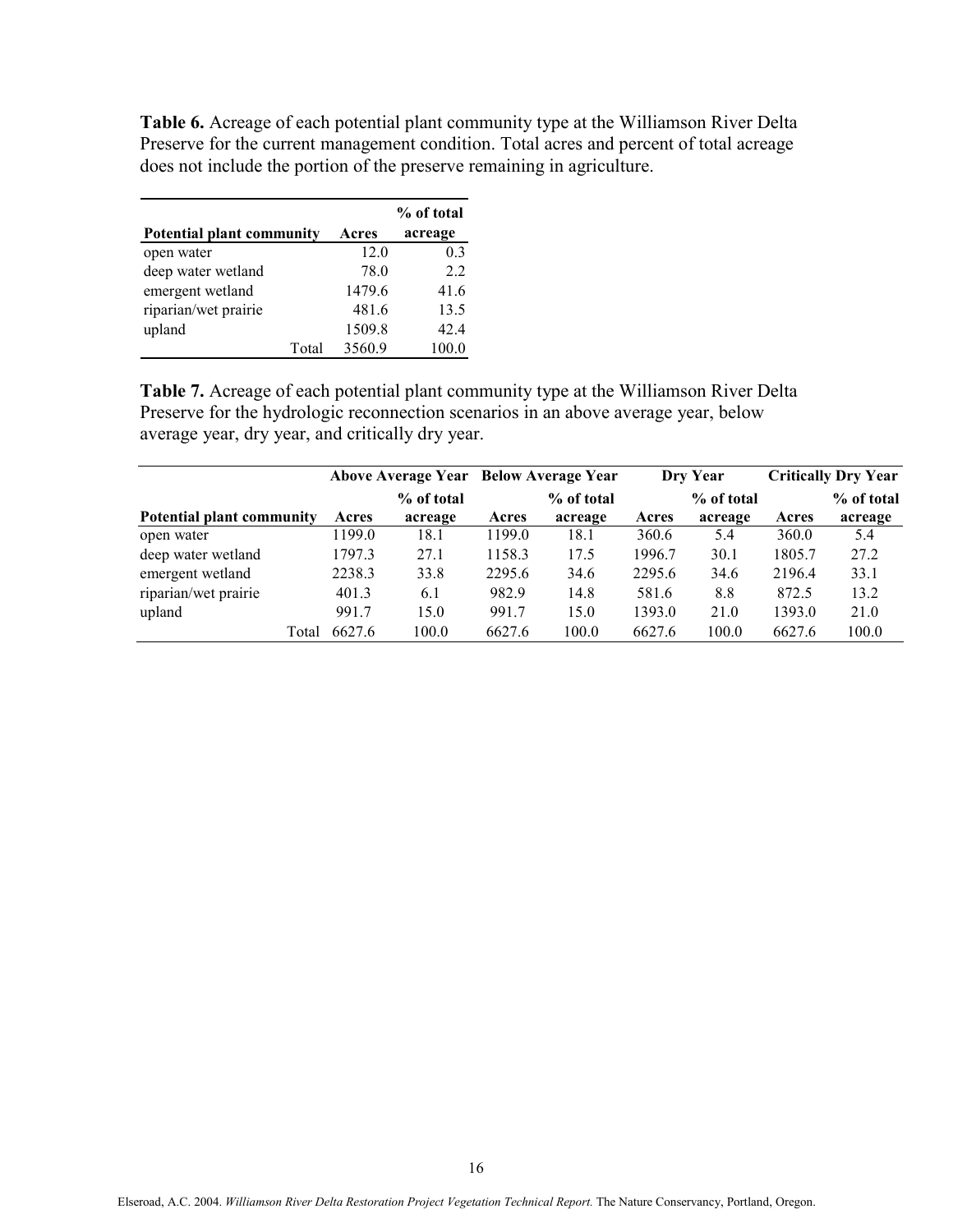Table 6. Acreage of each potential plant community type at the Williamson River Delta Preserve for the current management condition. Total acres and percent of total acreage does not include the portion of the preserve remaining in agriculture.

|                                  |       |        | % of total     |
|----------------------------------|-------|--------|----------------|
| <b>Potential plant community</b> |       | Acres  | acreage        |
| open water                       |       | 12.0   | 0 <sup>3</sup> |
| deep water wetland               |       | 78.0   | 22             |
| emergent wetland                 |       | 1479.6 | 41.6           |
| riparian/wet prairie             |       | 481.6  | 13.5           |
| upland                           |       | 1509.8 | 42.4           |
|                                  | Total | 3560.9 | 100.0          |

Table 7. Acreage of each potential plant community type at the Williamson River Delta Preserve for the hydrologic reconnection scenarios in an above average year, below average year, dry year, and critically dry year.

|                           | Above Average Year Below Average Year |            |        |            |        | Dry Year   | <b>Critically Dry Year</b> |            |
|---------------------------|---------------------------------------|------------|--------|------------|--------|------------|----------------------------|------------|
|                           |                                       | % of total |        | % of total |        | % of total |                            | % of total |
| Potential plant community | Acres                                 | acreage    | Acres  | acreage    | Acres  | acreage    | Acres                      | acreage    |
| open water                | 1199.0                                | 18.1       | 1199.0 | 18.1       | 360.6  | 5.4        | 360.0                      | 5.4        |
| deep water wetland        | 1797.3                                | 27.1       | 1158.3 | 17.5       | 1996.7 | 30.1       | 1805.7                     | 27.2       |
| emergent wetland          | 2238.3                                | 33.8       | 2295.6 | 34.6       | 2295.6 | 34.6       | 2196.4                     | 33.1       |
| riparian/wet prairie      | 401.3                                 | 6.1        | 982.9  | 14.8       | 581.6  | 8.8        | 872.5                      | 13.2       |
| upland                    | 991.7                                 | 15.0       | 991.7  | 15.0       | 1393.0 | 21.0       | 1393.0                     | 21.0       |
| Total                     | 6627.6                                | 100.0      | 6627.6 | 100.0      | 6627.6 | 100.0      | 6627.6                     | 100.0      |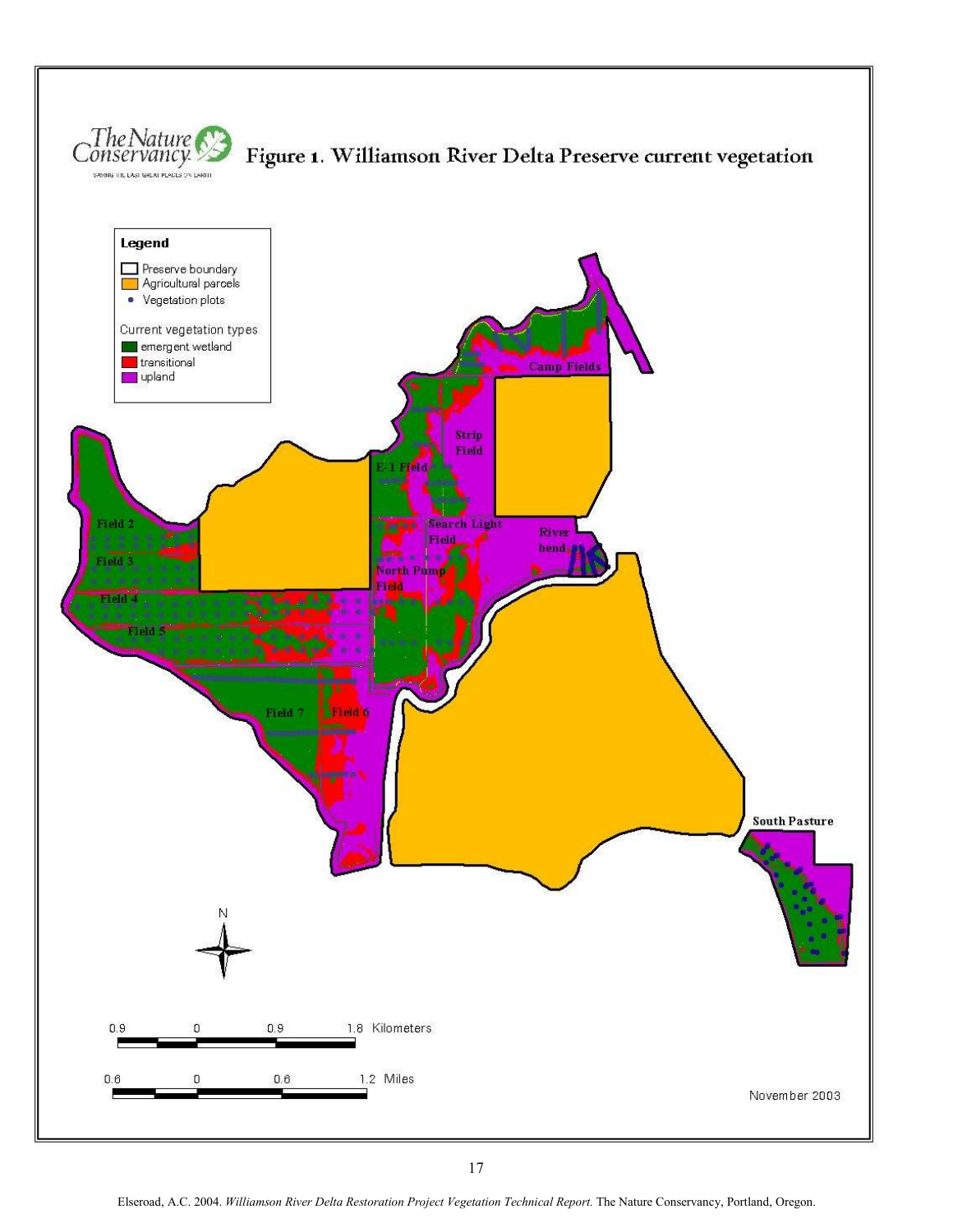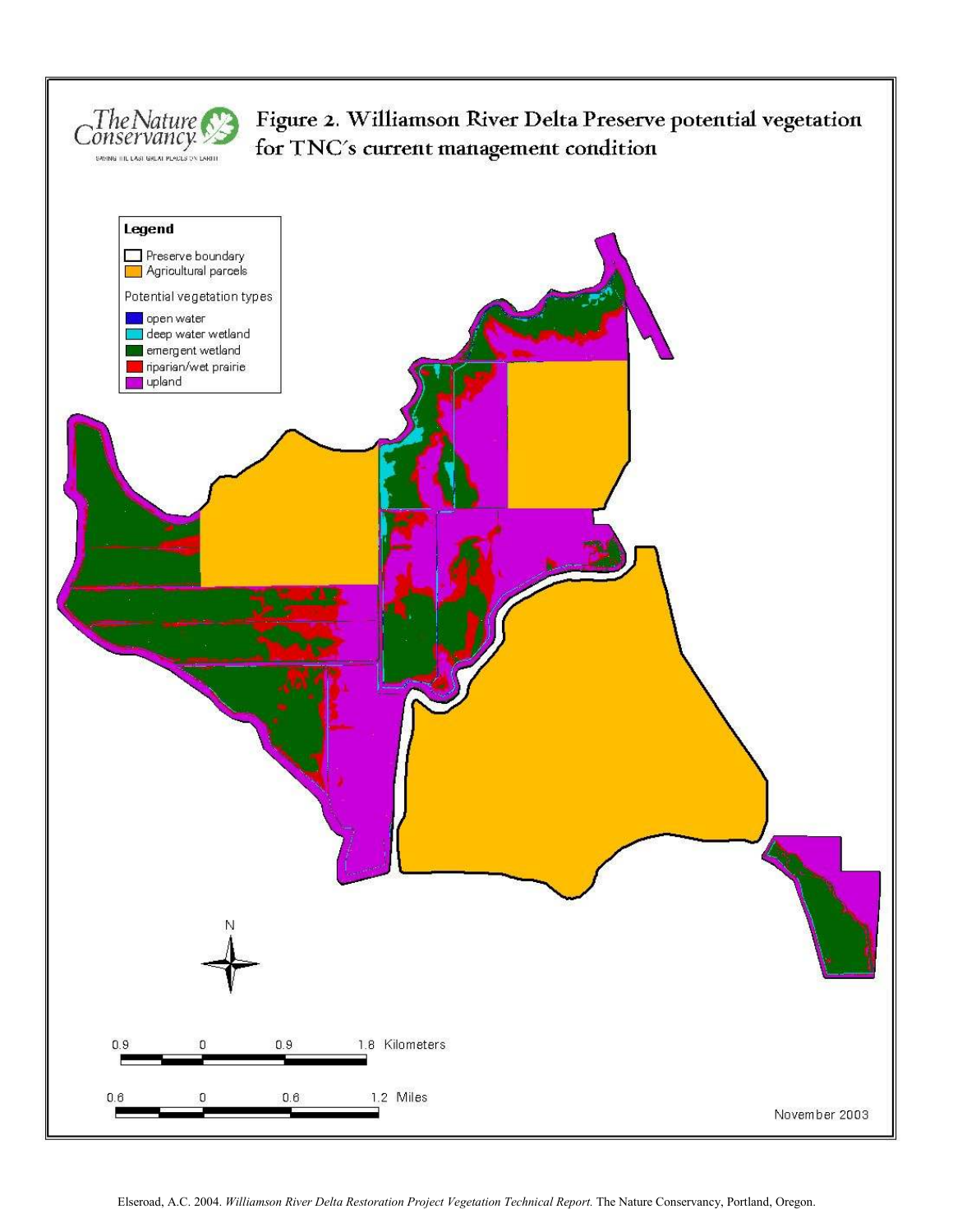

# Figure 2. Williamson River Delta Preserve potential vegetation for TNC's current management condition

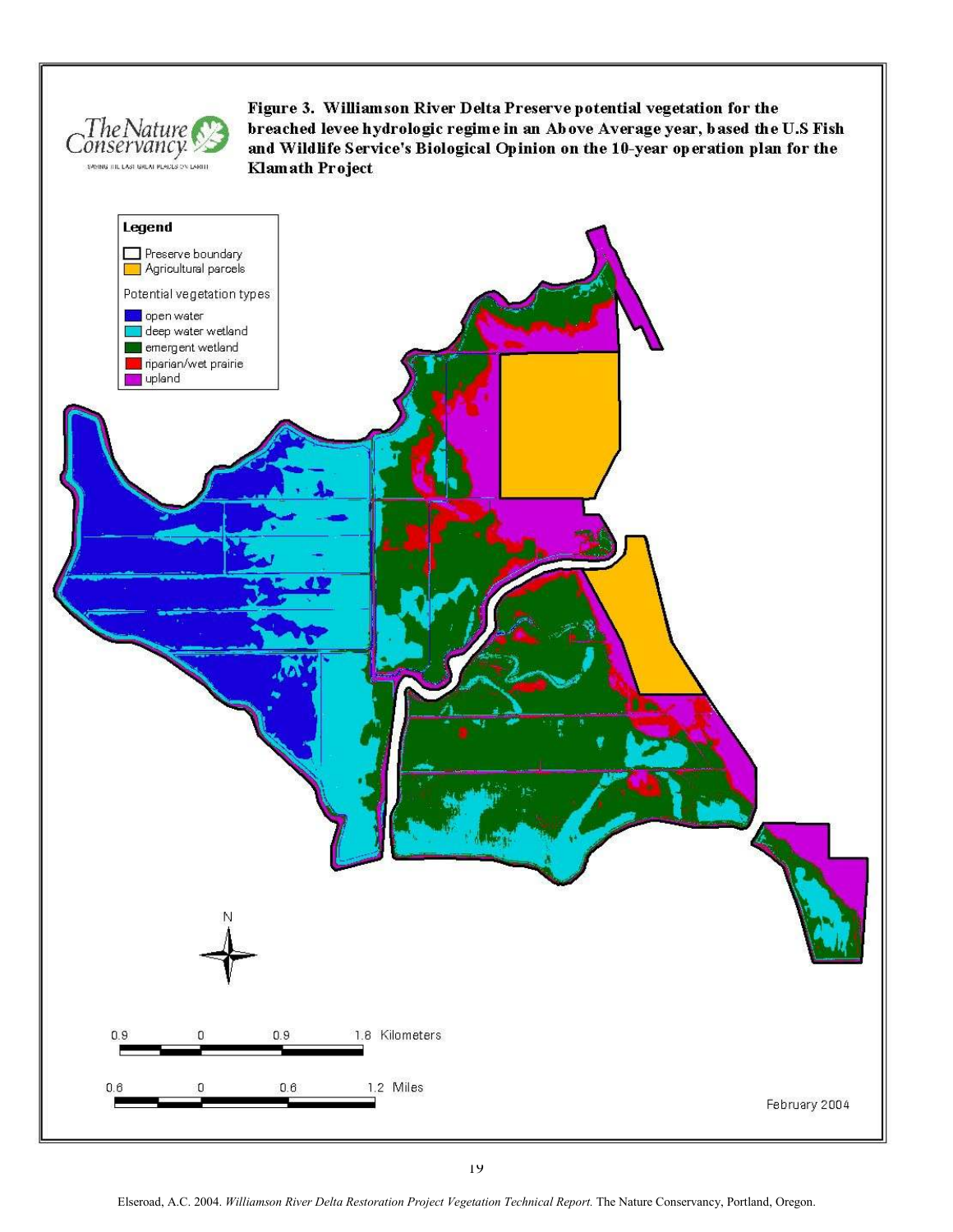

Figure 3. Williamson River Delta Preserve potential vegetation for the breached levee hydrologic regime in an Above Average year, based the U.S Fish and Wildlife Service's Biological Opinion on the 10-year operation plan for the Klamath Project

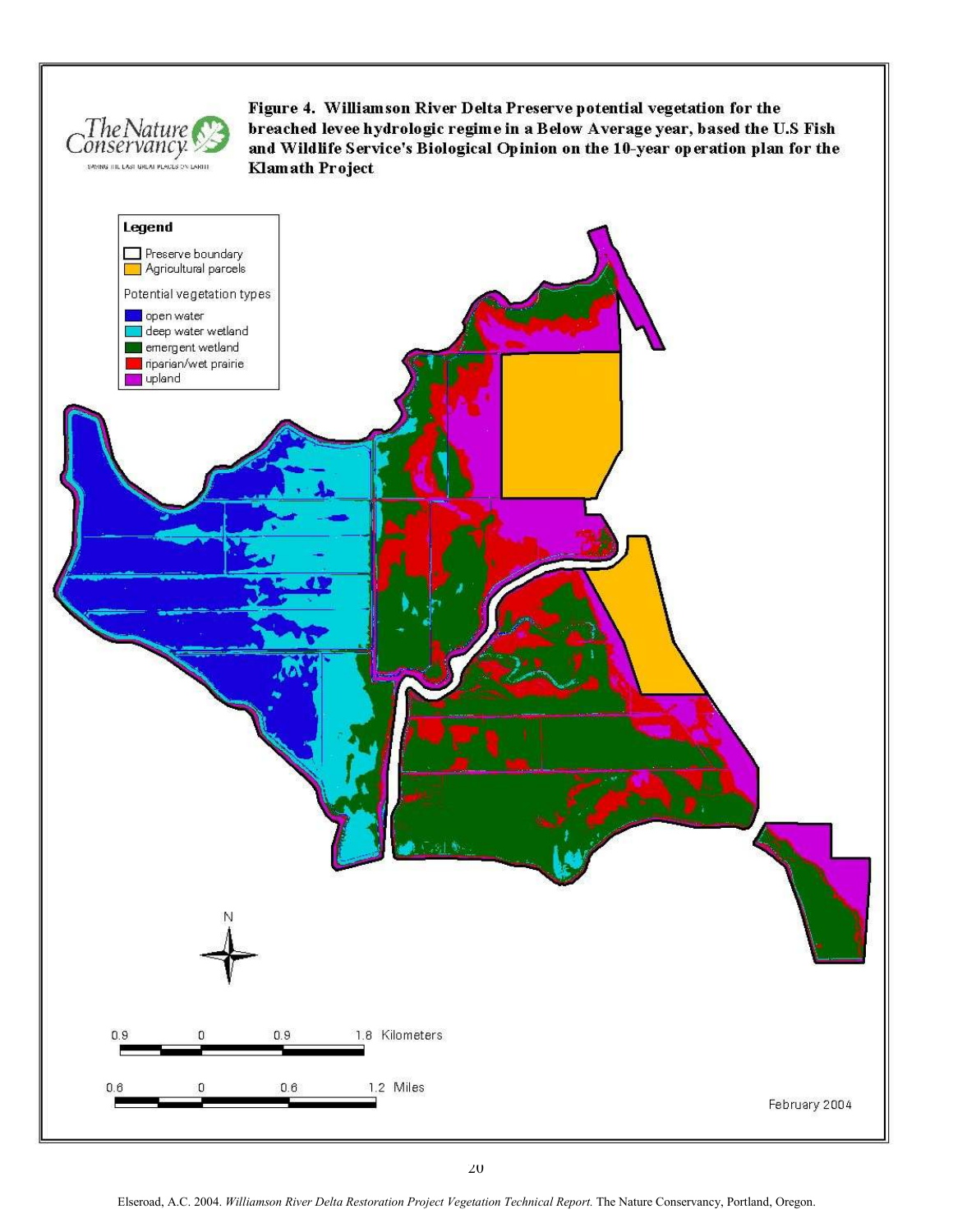

Figure 4. Williamson River Delta Preserve potential vegetation for the breached levee hydrologic regime in a Below Average year, based the U.S Fish and Wildlife Service's Biological Opinion on the 10-year operation plan for the **Klamath Project** 

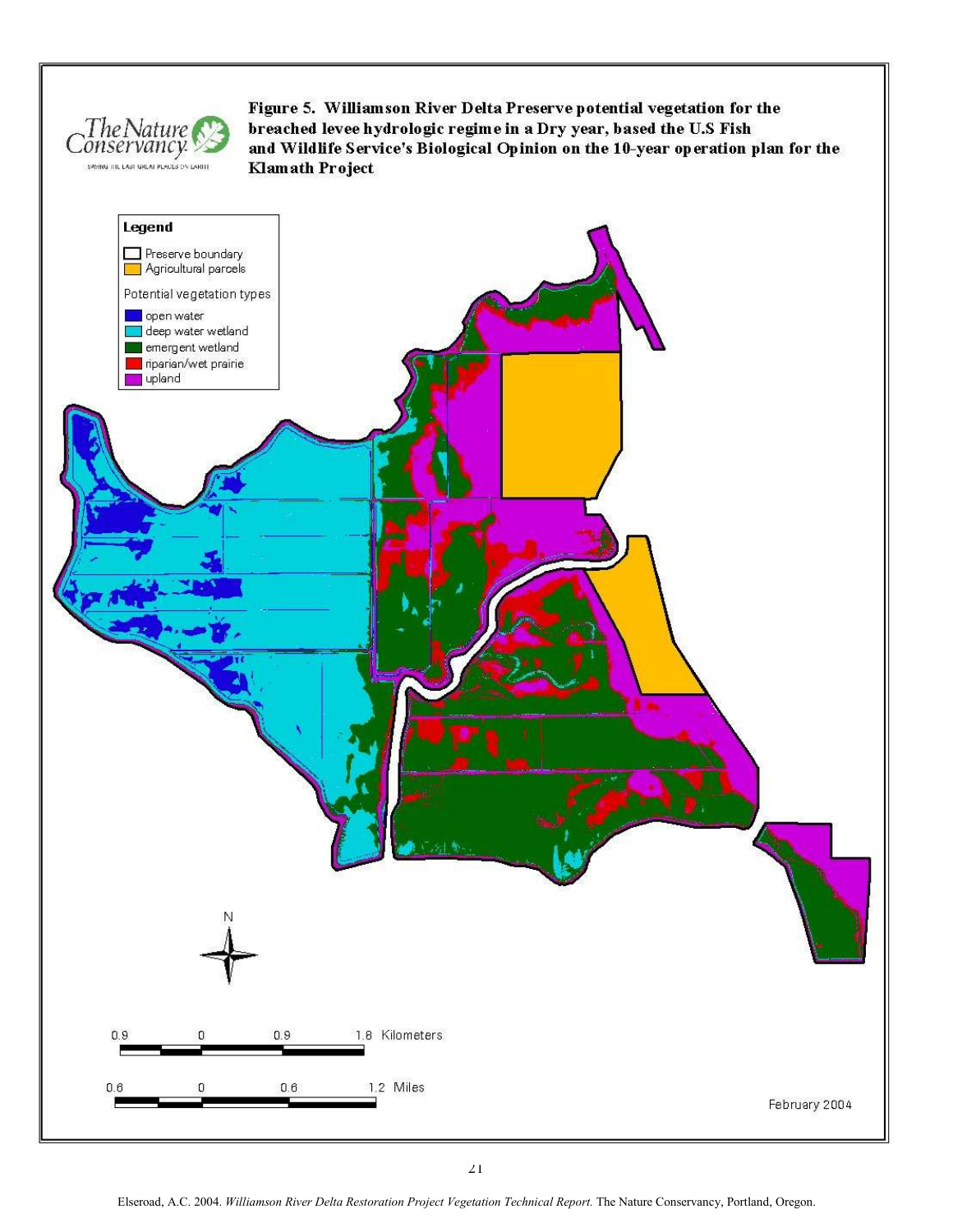

Figure 5. Williamson River Delta Preserve potential vegetation for the breached levee hydrologic regime in a Dry year, based the U.S Fish and Wildlife Service's Biological Opinion on the 10-year operation plan for the **Klamath Project**